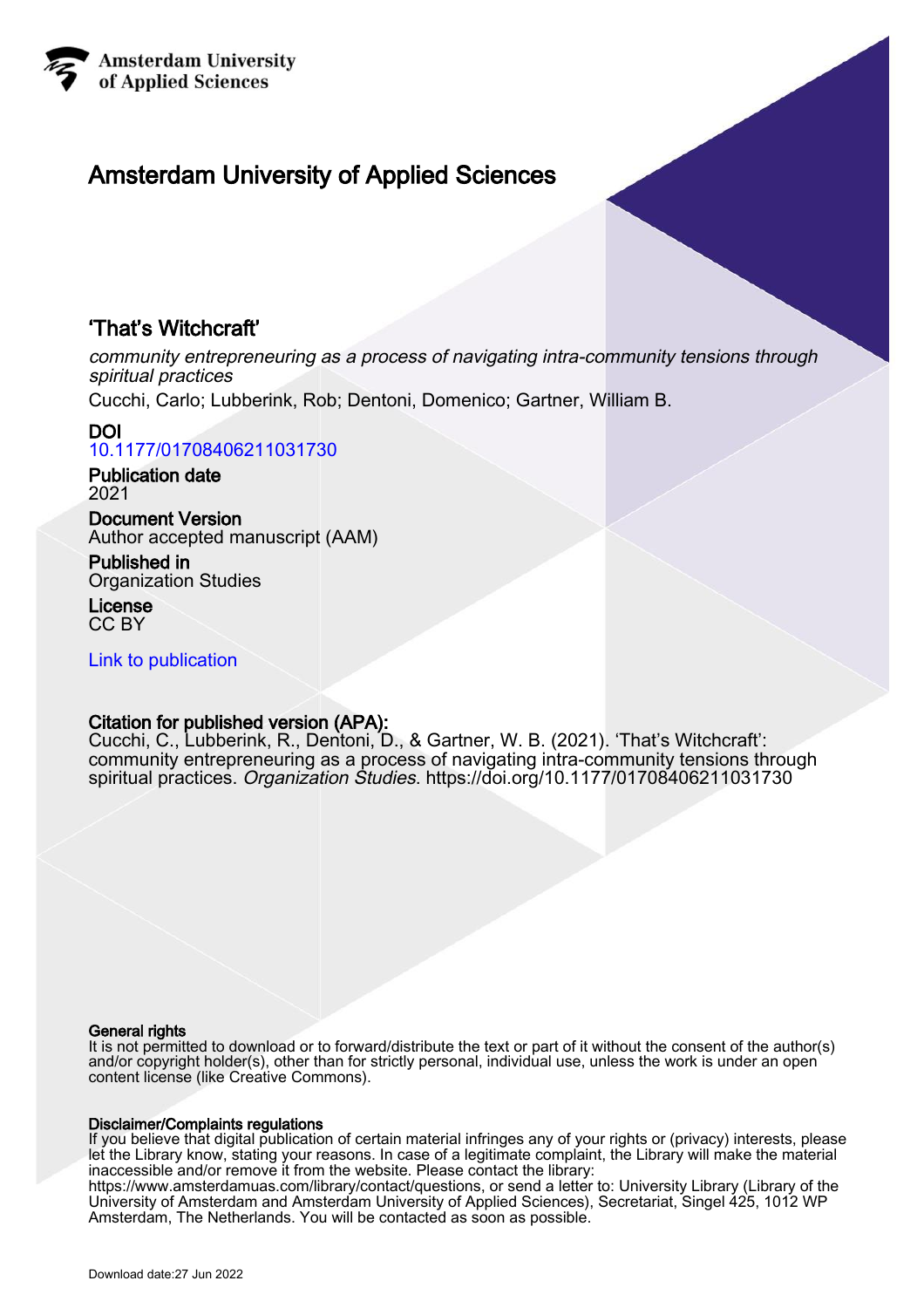

# Amsterdam University of Applied Sciences

## 'That's Witchcraft'

community entrepreneuring as a process of navigating intra-community tensions through spiritual practices

Cucchi, Carlo; Lubberink, Rob; Dentoni, Domenico; Gartner, William B.

#### DOI [10.1177/01708406211031730](https://doi.org/10.1177/01708406211031730)

Publication date 2021

Document Version Author accepted manuscript (AAM)

Published in Organization Studies

License CC BY

[Link to publication](https://research.hva.nl/en/publications/5e2cb464-b4a1-43bd-8d49-70eb7379e00d)

## Citation for published version (APA):

Cucchi, C., Lubberink, R., Dentoni, D., & Gartner, W. B. (2021). 'That's Witchcraft': community entrepreneuring as a process of navigating intra-community tensions through spiritual practices. Organization Studies.<https://doi.org/10.1177/01708406211031730>

### General rights

It is not permitted to download or to forward/distribute the text or part of it without the consent of the author(s) and/or copyright holder(s), other than for strictly personal, individual use, unless the work is under an open content license (like Creative Commons).

### Disclaimer/Complaints regulations

If you believe that digital publication of certain material infringes any of your rights or (privacy) interests, please let the Library know, stating your reasons. In case of a legitimate complaint, the Library will make the material inaccessible and/or remove it from the website. Please contact the library:

https://www.amsterdamuas.com/library/contact/questions, or send a letter to: University Library (Library of the University of Amsterdam and Amsterdam University of Applied Sciences), Secretariat, Singel 425, 1012 WP Amsterdam, The Netherlands. You will be contacted as soon as possible.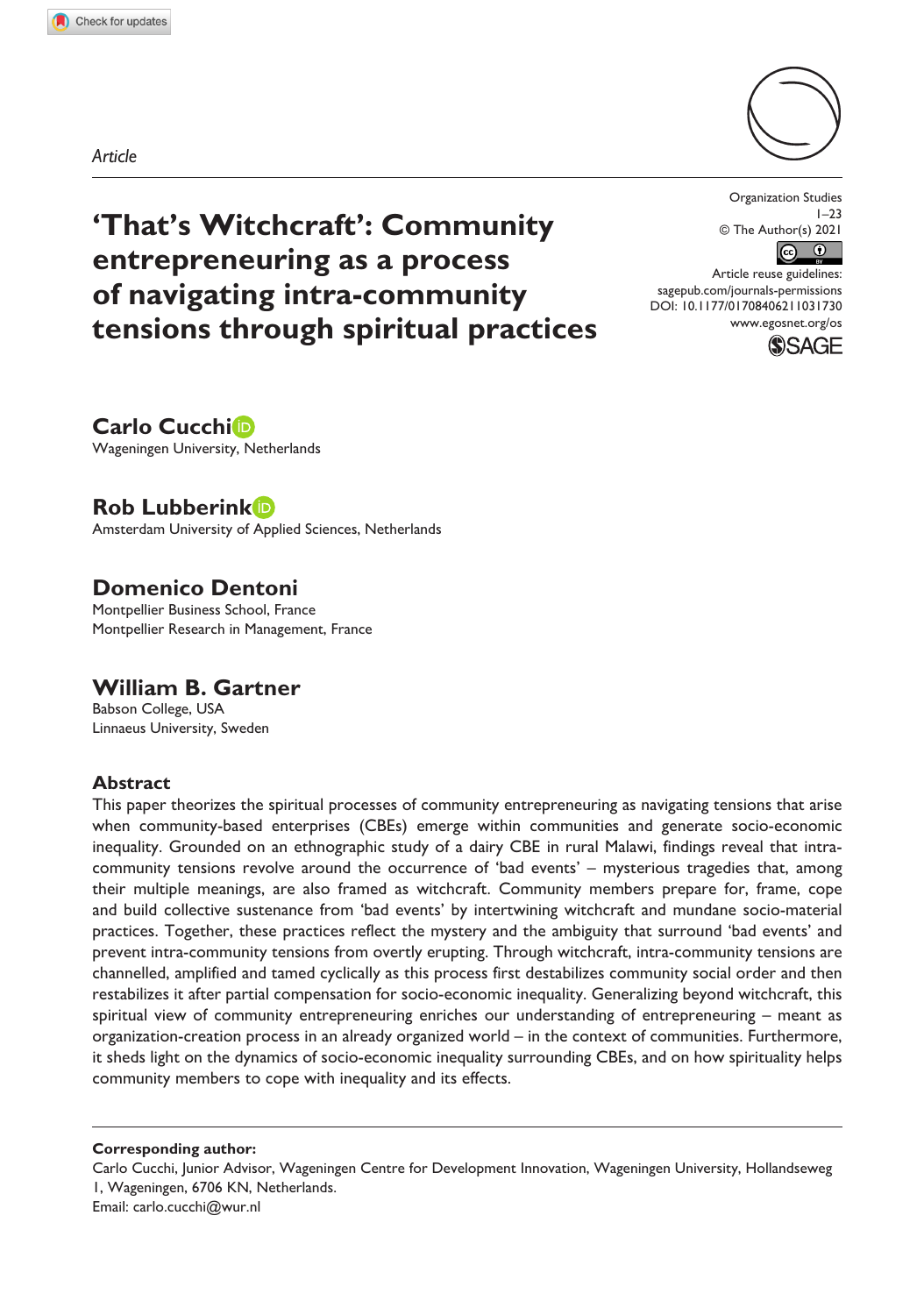*Article*



**'That's Witchcraft': Community entrepreneuring as a process of navigating intra-community tensions through spiritual practices**

Organization Studies  $1 - 23$ © The Author(s) 2021  $\left| \mathbf{c} \right|$  $\bigcirc$ 

DOI: 10.1177/01708406211031730 Article reuse guidelines: [sagepub.com/journals-permissions](https://uk.sagepub.com/en-gb/journals-permissions) [www.egosnet.org/os](http://www.egosnet.org/os)



**Carlo Cucchi** Wageningen University, Netherlands

**Rob Lubberink**

Amsterdam University of Applied Sciences, Netherlands

## **Domenico Dentoni**

Montpellier Business School, France Montpellier Research in Management, France

## **William B. Gartner**

Babson College, USA Linnaeus University, Sweden

#### **Abstract**

This paper theorizes the spiritual processes of community entrepreneuring as navigating tensions that arise when community-based enterprises (CBEs) emerge within communities and generate socio-economic inequality. Grounded on an ethnographic study of a dairy CBE in rural Malawi, findings reveal that intracommunity tensions revolve around the occurrence of 'bad events' – mysterious tragedies that, among their multiple meanings, are also framed as witchcraft. Community members prepare for, frame, cope and build collective sustenance from 'bad events' by intertwining witchcraft and mundane socio-material practices. Together, these practices reflect the mystery and the ambiguity that surround 'bad events' and prevent intra-community tensions from overtly erupting. Through witchcraft, intra-community tensions are channelled, amplified and tamed cyclically as this process first destabilizes community social order and then restabilizes it after partial compensation for socio-economic inequality. Generalizing beyond witchcraft, this spiritual view of community entrepreneuring enriches our understanding of entrepreneuring – meant as organization-creation process in an already organized world – in the context of communities. Furthermore, it sheds light on the dynamics of socio-economic inequality surrounding CBEs, and on how spirituality helps community members to cope with inequality and its effects.

**Corresponding author:**

Carlo Cucchi, Junior Advisor, Wageningen Centre for Development Innovation, Wageningen University, Hollandseweg 1, Wageningen, 6706 KN, Netherlands. Email: [carlo.cucchi@wur.nl](mailto:carlo.cucchi@wur.nl)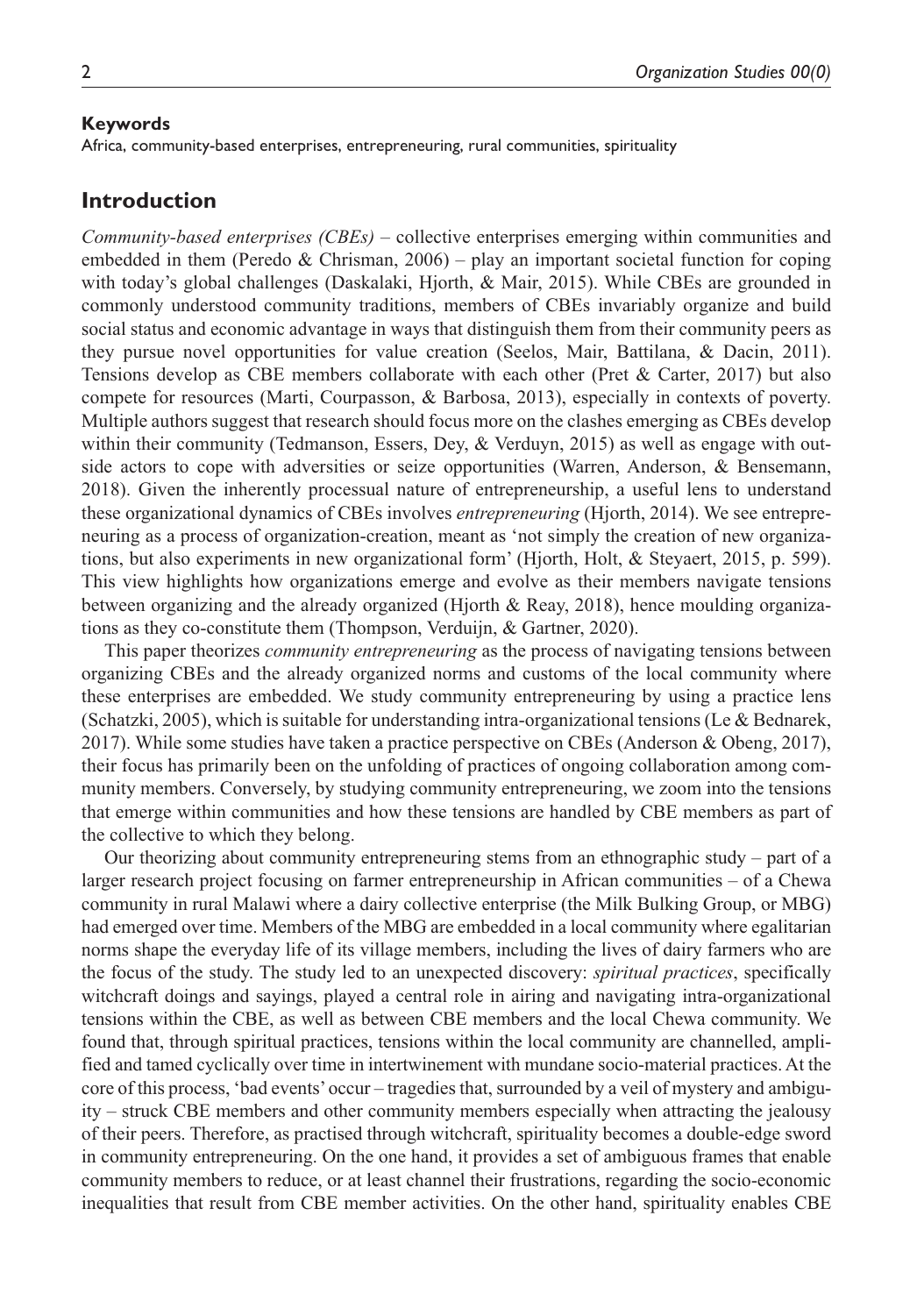#### **Keywords**

Africa, community-based enterprises, entrepreneuring, rural communities, spirituality

#### **Introduction**

*Community-based enterprises (CBEs)* – collective enterprises emerging within communities and embedded in them (Peredo & Chrisman, 2006) – play an important societal function for coping with today's global challenges (Daskalaki, Hjorth, & Mair, 2015). While CBEs are grounded in commonly understood community traditions, members of CBEs invariably organize and build social status and economic advantage in ways that distinguish them from their community peers as they pursue novel opportunities for value creation (Seelos, Mair, Battilana, & Dacin, 2011). Tensions develop as CBE members collaborate with each other (Pret & Carter, 2017) but also compete for resources (Marti, Courpasson, & Barbosa, 2013), especially in contexts of poverty. Multiple authors suggest that research should focus more on the clashes emerging as CBEs develop within their community (Tedmanson, Essers, Dey, & Verduyn, 2015) as well as engage with outside actors to cope with adversities or seize opportunities (Warren, Anderson, & Bensemann, 2018). Given the inherently processual nature of entrepreneurship, a useful lens to understand these organizational dynamics of CBEs involves *entrepreneuring* (Hjorth, 2014). We see entrepreneuring as a process of organization-creation, meant as 'not simply the creation of new organizations, but also experiments in new organizational form' (Hjorth, Holt, & Steyaert, 2015, p. 599). This view highlights how organizations emerge and evolve as their members navigate tensions between organizing and the already organized (Hjorth & Reay, 2018), hence moulding organizations as they co-constitute them (Thompson, Verduijn, & Gartner, 2020).

This paper theorizes *community entrepreneuring* as the process of navigating tensions between organizing CBEs and the already organized norms and customs of the local community where these enterprises are embedded. We study community entrepreneuring by using a practice lens (Schatzki, 2005), which is suitable for understanding intra-organizational tensions (Le & Bednarek, 2017). While some studies have taken a practice perspective on CBEs (Anderson & Obeng, 2017), their focus has primarily been on the unfolding of practices of ongoing collaboration among community members. Conversely, by studying community entrepreneuring, we zoom into the tensions that emerge within communities and how these tensions are handled by CBE members as part of the collective to which they belong.

Our theorizing about community entrepreneuring stems from an ethnographic study – part of a larger research project focusing on farmer entrepreneurship in African communities – of a Chewa community in rural Malawi where a dairy collective enterprise (the Milk Bulking Group, or MBG) had emerged over time. Members of the MBG are embedded in a local community where egalitarian norms shape the everyday life of its village members, including the lives of dairy farmers who are the focus of the study. The study led to an unexpected discovery: *spiritual practices*, specifically witchcraft doings and sayings, played a central role in airing and navigating intra-organizational tensions within the CBE, as well as between CBE members and the local Chewa community. We found that, through spiritual practices, tensions within the local community are channelled, amplified and tamed cyclically over time in intertwinement with mundane socio-material practices. At the core of this process, 'bad events' occur – tragedies that, surrounded by a veil of mystery and ambiguity – struck CBE members and other community members especially when attracting the jealousy of their peers. Therefore, as practised through witchcraft, spirituality becomes a double-edge sword in community entrepreneuring. On the one hand, it provides a set of ambiguous frames that enable community members to reduce, or at least channel their frustrations, regarding the socio-economic inequalities that result from CBE member activities. On the other hand, spirituality enables CBE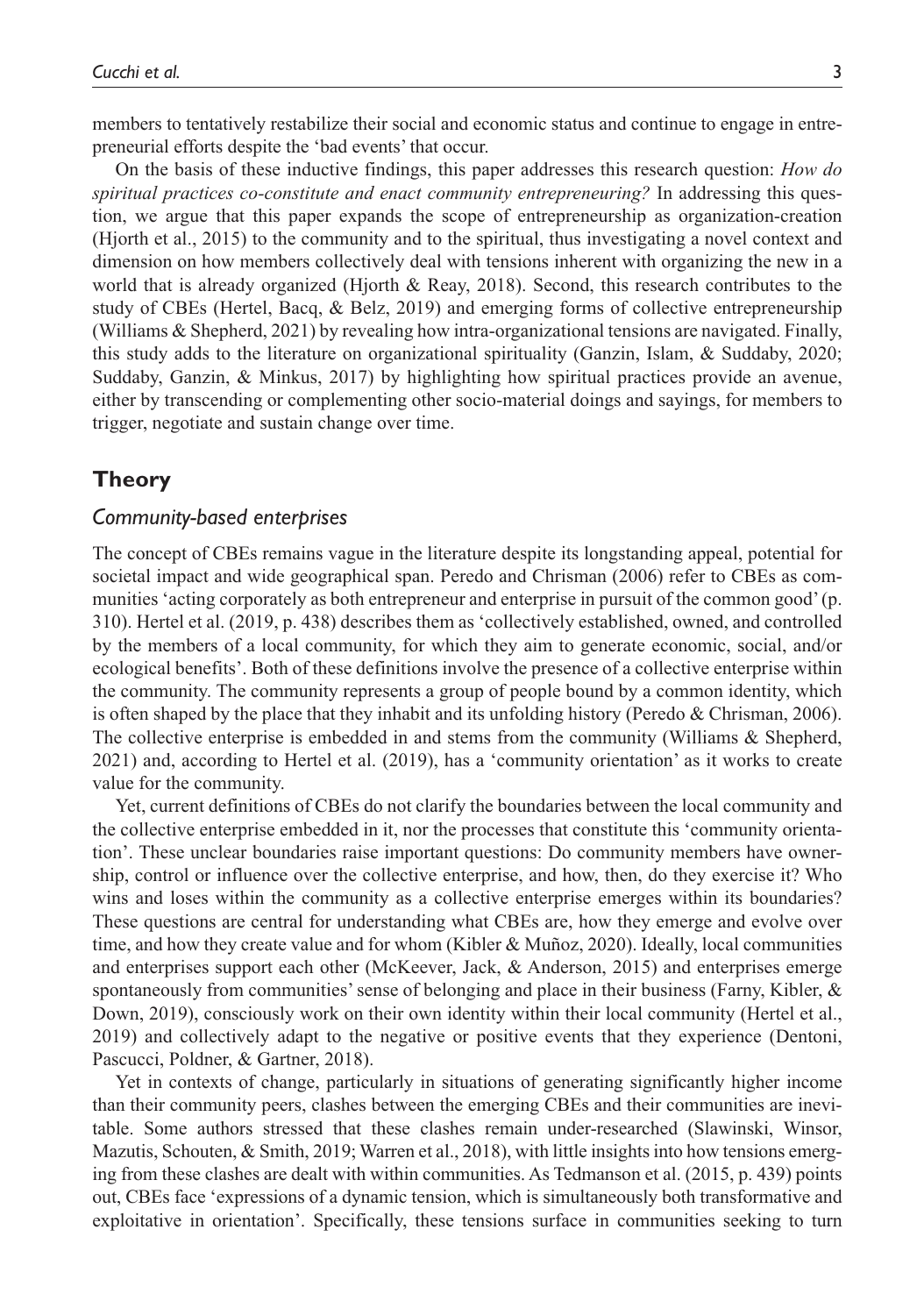members to tentatively restabilize their social and economic status and continue to engage in entrepreneurial efforts despite the 'bad events' that occur.

On the basis of these inductive findings, this paper addresses this research question: *How do spiritual practices co-constitute and enact community entrepreneuring?* In addressing this question, we argue that this paper expands the scope of entrepreneurship as organization-creation (Hjorth et al., 2015) to the community and to the spiritual, thus investigating a novel context and dimension on how members collectively deal with tensions inherent with organizing the new in a world that is already organized (Hjorth & Reay, 2018). Second, this research contributes to the study of CBEs (Hertel, Bacq, & Belz, 2019) and emerging forms of collective entrepreneurship (Williams & Shepherd, 2021) by revealing how intra-organizational tensions are navigated. Finally, this study adds to the literature on organizational spirituality (Ganzin, Islam, & Suddaby, 2020; Suddaby, Ganzin, & Minkus, 2017) by highlighting how spiritual practices provide an avenue, either by transcending or complementing other socio-material doings and sayings, for members to trigger, negotiate and sustain change over time.

## **Theory**

#### *Community-based enterprises*

The concept of CBEs remains vague in the literature despite its longstanding appeal, potential for societal impact and wide geographical span. Peredo and Chrisman (2006) refer to CBEs as communities 'acting corporately as both entrepreneur and enterprise in pursuit of the common good' (p. 310). Hertel et al. (2019, p. 438) describes them as 'collectively established, owned, and controlled by the members of a local community, for which they aim to generate economic, social, and/or ecological benefits'. Both of these definitions involve the presence of a collective enterprise within the community. The community represents a group of people bound by a common identity, which is often shaped by the place that they inhabit and its unfolding history (Peredo & Chrisman, 2006). The collective enterprise is embedded in and stems from the community (Williams & Shepherd, 2021) and, according to Hertel et al. (2019), has a 'community orientation' as it works to create value for the community.

Yet, current definitions of CBEs do not clarify the boundaries between the local community and the collective enterprise embedded in it, nor the processes that constitute this 'community orientation'. These unclear boundaries raise important questions: Do community members have ownership, control or influence over the collective enterprise, and how, then, do they exercise it? Who wins and loses within the community as a collective enterprise emerges within its boundaries? These questions are central for understanding what CBEs are, how they emerge and evolve over time, and how they create value and for whom (Kibler & Muñoz, 2020). Ideally, local communities and enterprises support each other (McKeever, Jack, & Anderson, 2015) and enterprises emerge spontaneously from communities' sense of belonging and place in their business (Farny, Kibler,  $\&$ Down, 2019), consciously work on their own identity within their local community (Hertel et al., 2019) and collectively adapt to the negative or positive events that they experience (Dentoni, Pascucci, Poldner, & Gartner, 2018).

Yet in contexts of change, particularly in situations of generating significantly higher income than their community peers, clashes between the emerging CBEs and their communities are inevitable. Some authors stressed that these clashes remain under-researched (Slawinski, Winsor, Mazutis, Schouten, & Smith, 2019; Warren et al., 2018), with little insights into how tensions emerging from these clashes are dealt with within communities. As Tedmanson et al. (2015, p. 439) points out, CBEs face 'expressions of a dynamic tension, which is simultaneously both transformative and exploitative in orientation'. Specifically, these tensions surface in communities seeking to turn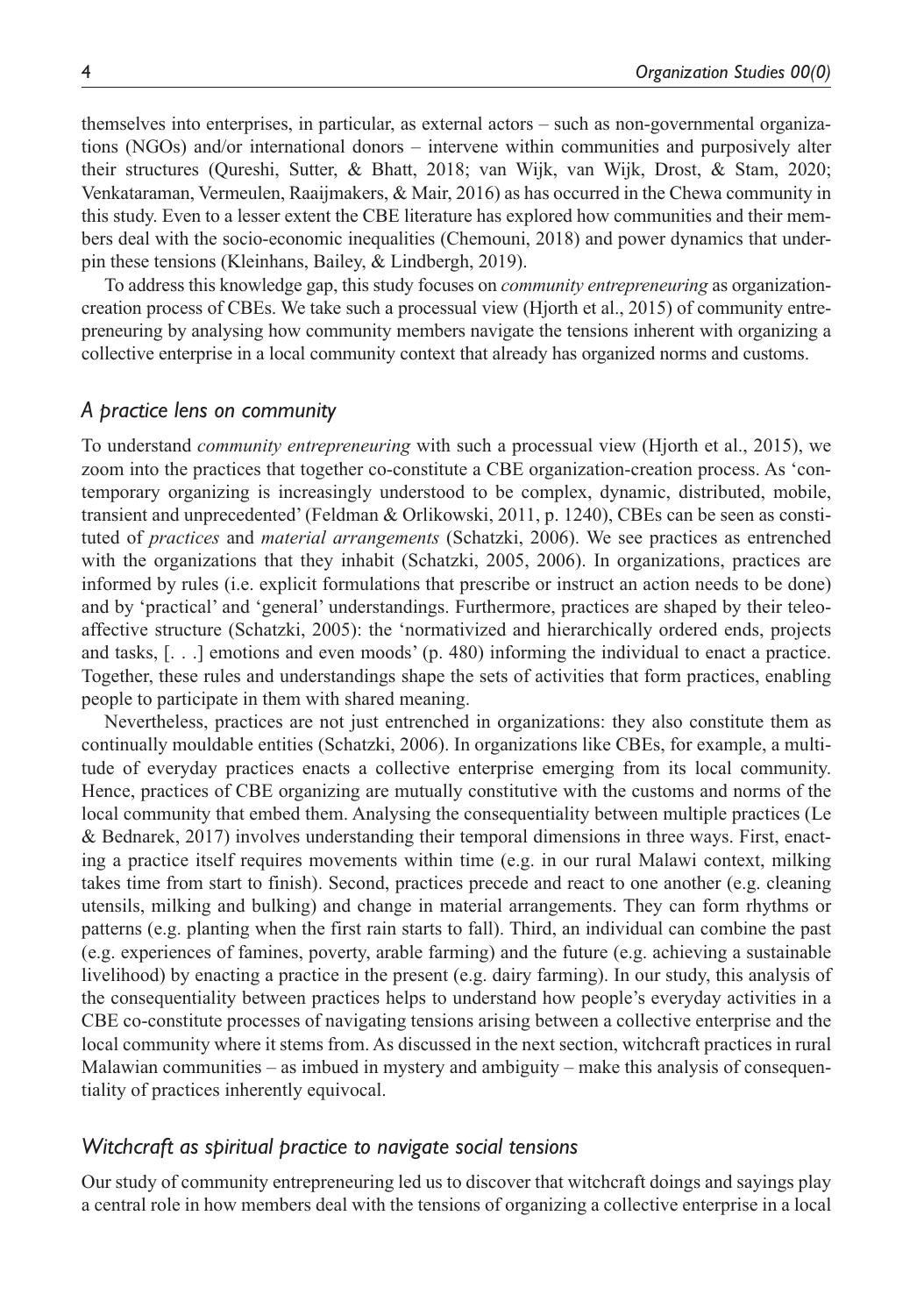themselves into enterprises, in particular, as external actors – such as non-governmental organizations (NGOs) and/or international donors – intervene within communities and purposively alter their structures (Qureshi, Sutter, & Bhatt, 2018; van Wijk, van Wijk, Drost, & Stam, 2020; Venkataraman, Vermeulen, Raaijmakers, & Mair, 2016) as has occurred in the Chewa community in this study. Even to a lesser extent the CBE literature has explored how communities and their members deal with the socio-economic inequalities (Chemouni, 2018) and power dynamics that underpin these tensions (Kleinhans, Bailey, & Lindbergh, 2019).

To address this knowledge gap, this study focuses on *community entrepreneuring* as organizationcreation process of CBEs. We take such a processual view (Hjorth et al., 2015) of community entrepreneuring by analysing how community members navigate the tensions inherent with organizing a collective enterprise in a local community context that already has organized norms and customs.

#### *A practice lens on community*

To understand *community entrepreneuring* with such a processual view (Hjorth et al., 2015), we zoom into the practices that together co-constitute a CBE organization-creation process. As 'contemporary organizing is increasingly understood to be complex, dynamic, distributed, mobile, transient and unprecedented' (Feldman & Orlikowski, 2011, p. 1240), CBEs can be seen as constituted of *practices* and *material arrangements* (Schatzki, 2006). We see practices as entrenched with the organizations that they inhabit (Schatzki, 2005, 2006). In organizations, practices are informed by rules (i.e. explicit formulations that prescribe or instruct an action needs to be done) and by 'practical' and 'general' understandings. Furthermore, practices are shaped by their teleoaffective structure (Schatzki, 2005): the 'normativized and hierarchically ordered ends, projects and tasks, [. . .] emotions and even moods' (p. 480) informing the individual to enact a practice. Together, these rules and understandings shape the sets of activities that form practices, enabling people to participate in them with shared meaning.

Nevertheless, practices are not just entrenched in organizations: they also constitute them as continually mouldable entities (Schatzki, 2006). In organizations like CBEs, for example, a multitude of everyday practices enacts a collective enterprise emerging from its local community. Hence, practices of CBE organizing are mutually constitutive with the customs and norms of the local community that embed them. Analysing the consequentiality between multiple practices (Le & Bednarek, 2017) involves understanding their temporal dimensions in three ways. First, enacting a practice itself requires movements within time (e.g. in our rural Malawi context, milking takes time from start to finish). Second, practices precede and react to one another (e.g. cleaning utensils, milking and bulking) and change in material arrangements. They can form rhythms or patterns (e.g. planting when the first rain starts to fall). Third, an individual can combine the past (e.g. experiences of famines, poverty, arable farming) and the future (e.g. achieving a sustainable livelihood) by enacting a practice in the present (e.g. dairy farming). In our study, this analysis of the consequentiality between practices helps to understand how people's everyday activities in a CBE co-constitute processes of navigating tensions arising between a collective enterprise and the local community where it stems from. As discussed in the next section, witchcraft practices in rural Malawian communities – as imbued in mystery and ambiguity – make this analysis of consequentiality of practices inherently equivocal.

#### *Witchcraft as spiritual practice to navigate social tensions*

Our study of community entrepreneuring led us to discover that witchcraft doings and sayings play a central role in how members deal with the tensions of organizing a collective enterprise in a local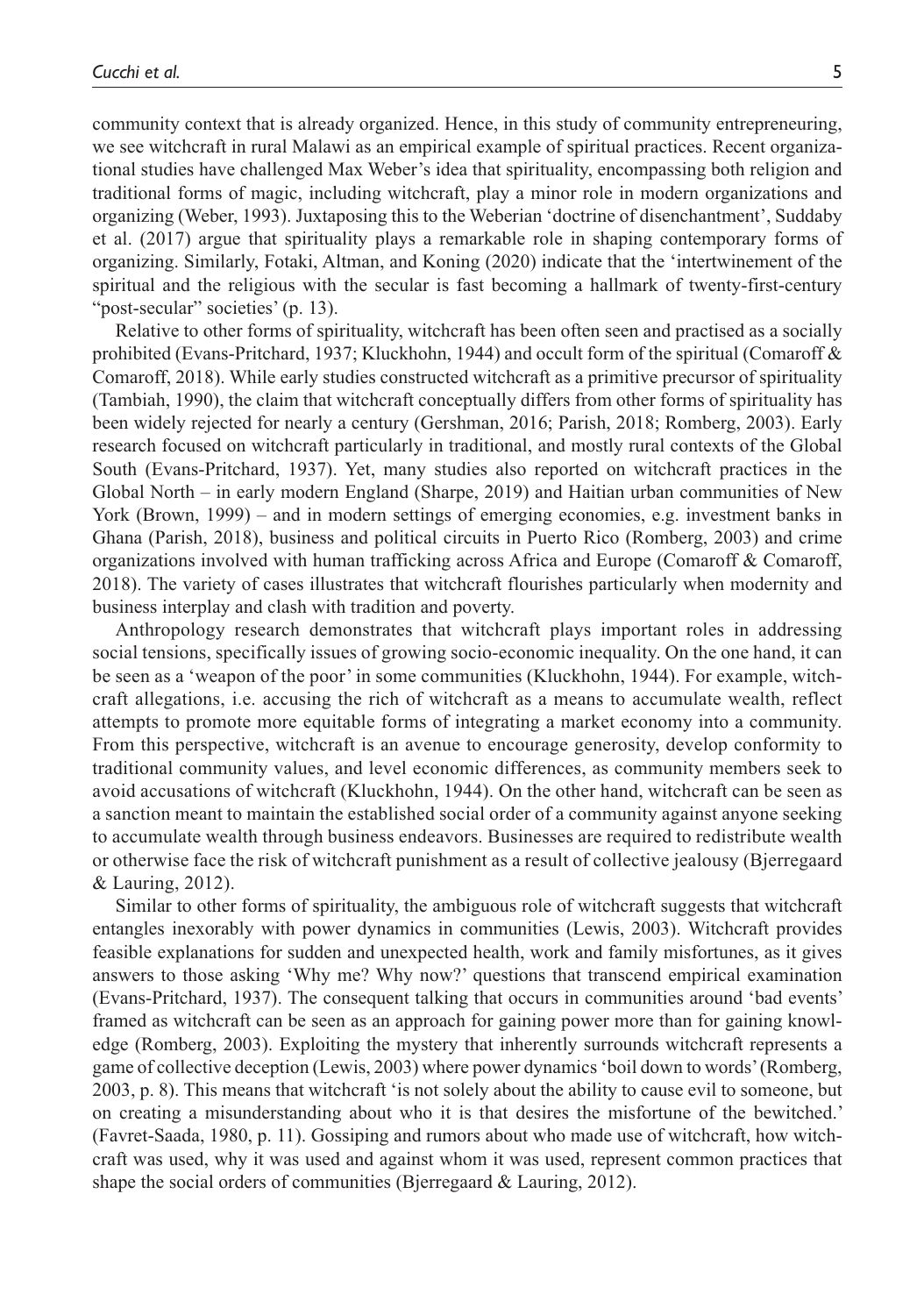community context that is already organized. Hence, in this study of community entrepreneuring, we see witchcraft in rural Malawi as an empirical example of spiritual practices. Recent organizational studies have challenged Max Weber's idea that spirituality, encompassing both religion and traditional forms of magic, including witchcraft, play a minor role in modern organizations and organizing (Weber, 1993). Juxtaposing this to the Weberian 'doctrine of disenchantment', Suddaby et al. (2017) argue that spirituality plays a remarkable role in shaping contemporary forms of organizing. Similarly, Fotaki, Altman, and Koning (2020) indicate that the 'intertwinement of the spiritual and the religious with the secular is fast becoming a hallmark of twenty-first-century "post-secular" societies' (p. 13).

Relative to other forms of spirituality, witchcraft has been often seen and practised as a socially prohibited (Evans-Pritchard, 1937; Kluckhohn, 1944) and occult form of the spiritual (Comaroff  $\&$ Comaroff, 2018). While early studies constructed witchcraft as a primitive precursor of spirituality (Tambiah, 1990), the claim that witchcraft conceptually differs from other forms of spirituality has been widely rejected for nearly a century (Gershman, 2016; Parish, 2018; Romberg, 2003). Early research focused on witchcraft particularly in traditional, and mostly rural contexts of the Global South (Evans-Pritchard, 1937). Yet, many studies also reported on witchcraft practices in the Global North – in early modern England (Sharpe, 2019) and Haitian urban communities of New York (Brown, 1999) – and in modern settings of emerging economies, e.g. investment banks in Ghana (Parish, 2018), business and political circuits in Puerto Rico (Romberg, 2003) and crime organizations involved with human trafficking across Africa and Europe (Comaroff & Comaroff, 2018). The variety of cases illustrates that witchcraft flourishes particularly when modernity and business interplay and clash with tradition and poverty.

Anthropology research demonstrates that witchcraft plays important roles in addressing social tensions, specifically issues of growing socio-economic inequality. On the one hand, it can be seen as a 'weapon of the poor' in some communities (Kluckhohn, 1944). For example, witchcraft allegations, i.e. accusing the rich of witchcraft as a means to accumulate wealth, reflect attempts to promote more equitable forms of integrating a market economy into a community. From this perspective, witchcraft is an avenue to encourage generosity, develop conformity to traditional community values, and level economic differences, as community members seek to avoid accusations of witchcraft (Kluckhohn, 1944). On the other hand, witchcraft can be seen as a sanction meant to maintain the established social order of a community against anyone seeking to accumulate wealth through business endeavors. Businesses are required to redistribute wealth or otherwise face the risk of witchcraft punishment as a result of collective jealousy (Bjerregaard & Lauring, 2012).

Similar to other forms of spirituality, the ambiguous role of witchcraft suggests that witchcraft entangles inexorably with power dynamics in communities (Lewis, 2003). Witchcraft provides feasible explanations for sudden and unexpected health, work and family misfortunes, as it gives answers to those asking 'Why me? Why now?' questions that transcend empirical examination (Evans-Pritchard, 1937). The consequent talking that occurs in communities around 'bad events' framed as witchcraft can be seen as an approach for gaining power more than for gaining knowledge (Romberg, 2003). Exploiting the mystery that inherently surrounds witchcraft represents a game of collective deception (Lewis, 2003) where power dynamics 'boil down to words' (Romberg, 2003, p. 8). This means that witchcraft 'is not solely about the ability to cause evil to someone, but on creating a misunderstanding about who it is that desires the misfortune of the bewitched.' (Favret-Saada, 1980, p. 11). Gossiping and rumors about who made use of witchcraft, how witchcraft was used, why it was used and against whom it was used, represent common practices that shape the social orders of communities (Bjerregaard & Lauring, 2012).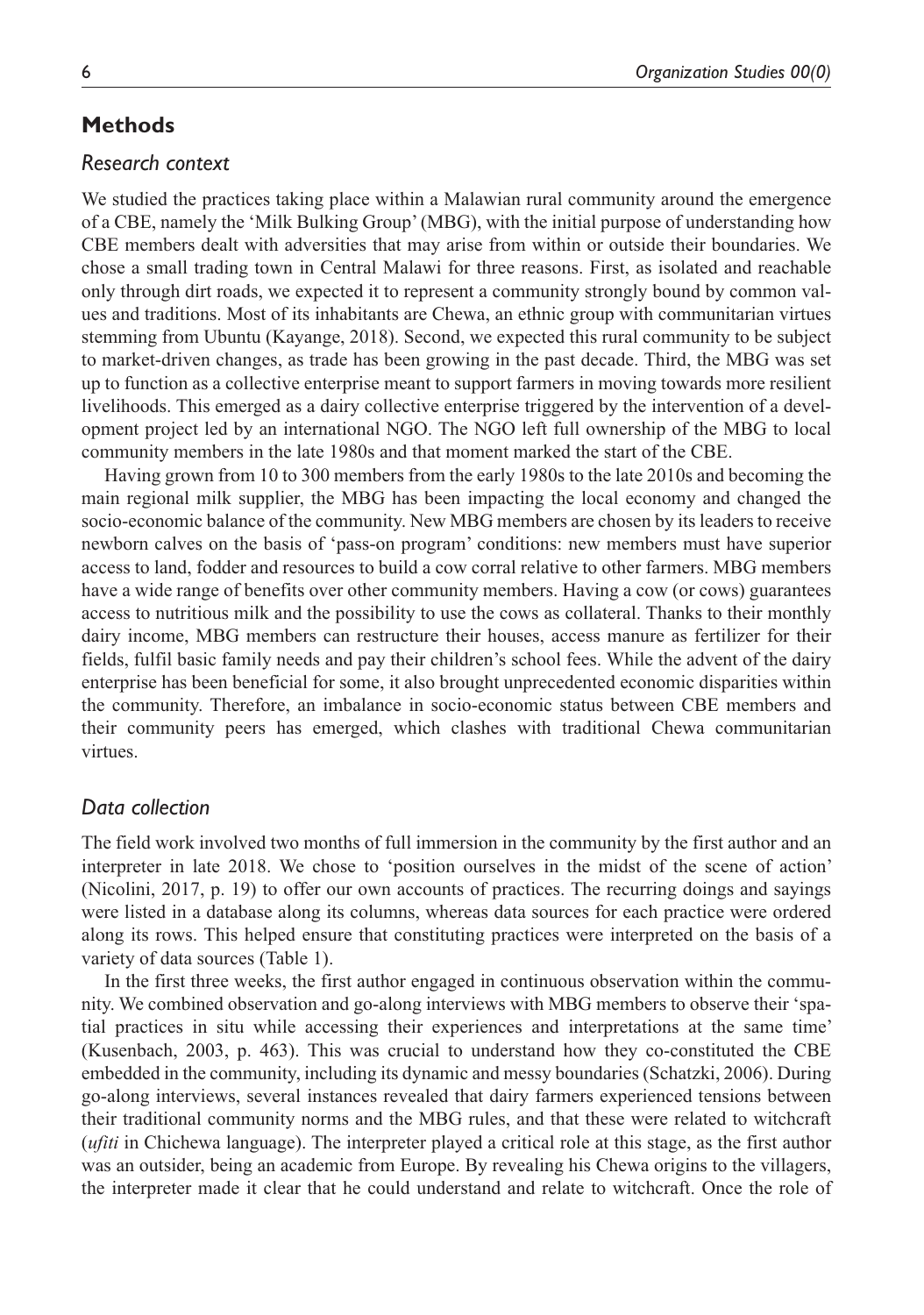## **Methods**

#### *Research context*

We studied the practices taking place within a Malawian rural community around the emergence of a CBE, namely the 'Milk Bulking Group' (MBG), with the initial purpose of understanding how CBE members dealt with adversities that may arise from within or outside their boundaries. We chose a small trading town in Central Malawi for three reasons. First, as isolated and reachable only through dirt roads, we expected it to represent a community strongly bound by common values and traditions. Most of its inhabitants are Chewa, an ethnic group with communitarian virtues stemming from Ubuntu (Kayange, 2018). Second, we expected this rural community to be subject to market-driven changes, as trade has been growing in the past decade. Third, the MBG was set up to function as a collective enterprise meant to support farmers in moving towards more resilient livelihoods. This emerged as a dairy collective enterprise triggered by the intervention of a development project led by an international NGO. The NGO left full ownership of the MBG to local community members in the late 1980s and that moment marked the start of the CBE.

Having grown from 10 to 300 members from the early 1980s to the late 2010s and becoming the main regional milk supplier, the MBG has been impacting the local economy and changed the socio-economic balance of the community. New MBG members are chosen by its leaders to receive newborn calves on the basis of 'pass-on program' conditions: new members must have superior access to land, fodder and resources to build a cow corral relative to other farmers. MBG members have a wide range of benefits over other community members. Having a cow (or cows) guarantees access to nutritious milk and the possibility to use the cows as collateral. Thanks to their monthly dairy income, MBG members can restructure their houses, access manure as fertilizer for their fields, fulfil basic family needs and pay their children's school fees. While the advent of the dairy enterprise has been beneficial for some, it also brought unprecedented economic disparities within the community. Therefore, an imbalance in socio-economic status between CBE members and their community peers has emerged, which clashes with traditional Chewa communitarian virtues.

## *Data collection*

The field work involved two months of full immersion in the community by the first author and an interpreter in late 2018. We chose to 'position ourselves in the midst of the scene of action' (Nicolini, 2017, p. 19) to offer our own accounts of practices. The recurring doings and sayings were listed in a database along its columns, whereas data sources for each practice were ordered along its rows. This helped ensure that constituting practices were interpreted on the basis of a variety of data sources (Table 1).

In the first three weeks, the first author engaged in continuous observation within the community. We combined observation and go-along interviews with MBG members to observe their 'spatial practices in situ while accessing their experiences and interpretations at the same time' (Kusenbach, 2003, p. 463). This was crucial to understand how they co-constituted the CBE embedded in the community, including its dynamic and messy boundaries (Schatzki, 2006). During go-along interviews, several instances revealed that dairy farmers experienced tensions between their traditional community norms and the MBG rules, and that these were related to witchcraft (*ufiti* in Chichewa language). The interpreter played a critical role at this stage, as the first author was an outsider, being an academic from Europe. By revealing his Chewa origins to the villagers, the interpreter made it clear that he could understand and relate to witchcraft. Once the role of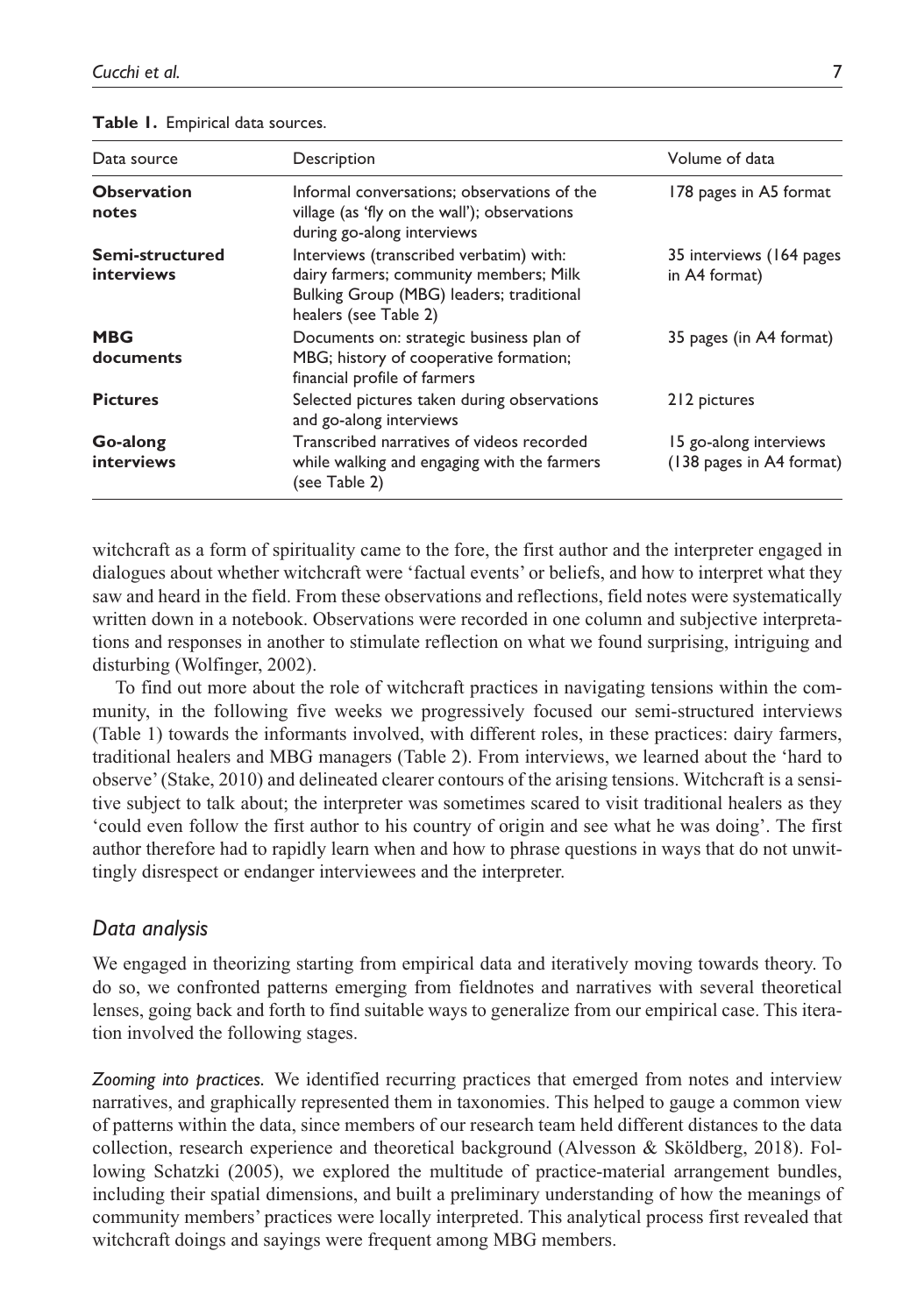| Data source                   | Description                                                                                                                                            | Volume of data                                     |
|-------------------------------|--------------------------------------------------------------------------------------------------------------------------------------------------------|----------------------------------------------------|
| <b>Observation</b><br>notes   | Informal conversations; observations of the<br>village (as 'fly on the wall'); observations<br>during go-along interviews                              | 178 pages in A5 format                             |
| Semi-structured<br>interviews | Interviews (transcribed verbatim) with:<br>dairy farmers; community members; Milk<br>Bulking Group (MBG) leaders; traditional<br>healers (see Table 2) | 35 interviews (164 pages)<br>in A4 format)         |
| <b>MBG</b><br>documents       | Documents on: strategic business plan of<br>MBG; history of cooperative formation;<br>financial profile of farmers                                     | 35 pages (in A4 format)                            |
| <b>Pictures</b>               | Selected pictures taken during observations<br>and go-along interviews                                                                                 | 212 pictures                                       |
| Go-along<br><b>interviews</b> | Transcribed narratives of videos recorded<br>while walking and engaging with the farmers<br>(see Table 2)                                              | 15 go-along interviews<br>(138 pages in A4 format) |

witchcraft as a form of spirituality came to the fore, the first author and the interpreter engaged in dialogues about whether witchcraft were 'factual events' or beliefs, and how to interpret what they saw and heard in the field. From these observations and reflections, field notes were systematically written down in a notebook. Observations were recorded in one column and subjective interpretations and responses in another to stimulate reflection on what we found surprising, intriguing and disturbing (Wolfinger, 2002).

To find out more about the role of witchcraft practices in navigating tensions within the community, in the following five weeks we progressively focused our semi-structured interviews (Table 1) towards the informants involved, with different roles, in these practices: dairy farmers, traditional healers and MBG managers (Table 2). From interviews, we learned about the 'hard to observe' (Stake, 2010) and delineated clearer contours of the arising tensions. Witchcraft is a sensitive subject to talk about; the interpreter was sometimes scared to visit traditional healers as they 'could even follow the first author to his country of origin and see what he was doing'. The first author therefore had to rapidly learn when and how to phrase questions in ways that do not unwittingly disrespect or endanger interviewees and the interpreter.

#### *Data analysis*

We engaged in theorizing starting from empirical data and iteratively moving towards theory. To do so, we confronted patterns emerging from fieldnotes and narratives with several theoretical lenses, going back and forth to find suitable ways to generalize from our empirical case. This iteration involved the following stages.

*Zooming into practices.* We identified recurring practices that emerged from notes and interview narratives, and graphically represented them in taxonomies. This helped to gauge a common view of patterns within the data, since members of our research team held different distances to the data collection, research experience and theoretical background (Alvesson & Sköldberg, 2018). Following Schatzki (2005), we explored the multitude of practice-material arrangement bundles, including their spatial dimensions, and built a preliminary understanding of how the meanings of community members' practices were locally interpreted. This analytical process first revealed that witchcraft doings and sayings were frequent among MBG members.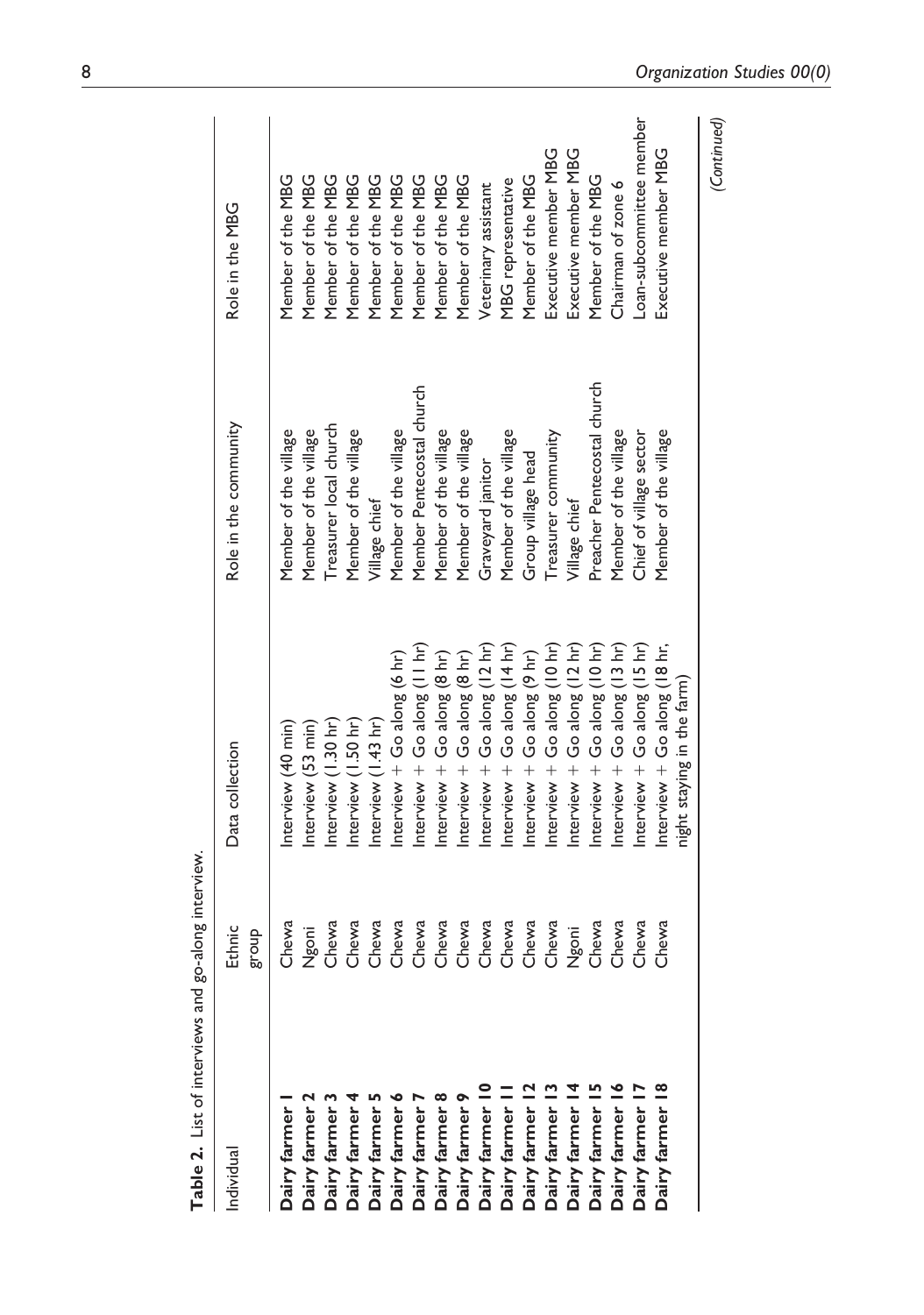| <b>Table 2.</b> List of interviews and go-along interview.                                  |                              |                                |                             |                          |
|---------------------------------------------------------------------------------------------|------------------------------|--------------------------------|-----------------------------|--------------------------|
| Individual                                                                                  | Ethnic<br>dno.l <sup>8</sup> | Data collection                | Role in the community       | Role in the MBG          |
|                                                                                             | Chewa                        | Interview (40 min)             | Member of the village       | Member of the MBG        |
| Dairy farmer I<br>Dairy farmer 2<br>Dairy farmer 3<br>Dairy farmer 4<br>Dairy farmer 5      | Ngoni                        | Interview (53 min)             | Member of the village       | Member of the MBG        |
|                                                                                             | Chewa                        | Interview (1.30 hr)            | Treasurer local church      | Member of the MBG        |
|                                                                                             | Chewa                        | Interview (1.50 hr)            | Member of the village       | Member of the MBG        |
|                                                                                             | Chewa                        | Interview (1.43 hr)            | Village chief               | Member of the MBG        |
| <b>Dairy farmer 6</b>                                                                       | Chewa                        | Interview $+$ Go along (6 hr)  | Member of the village       | Member of the MBG        |
| <b>Dairy farmer</b>                                                                         | Chewa                        | Interview $+$ Go along (11 hr) | Member Pentecostal church   | Member of the MBG        |
| Dairy farmer 8                                                                              | Chewa                        | Interview $+$ Go along (8 hr)  | Member of the village       | Member of the MBG        |
| <b>Dairy farmer</b> 9                                                                       | Chewa                        | Interview + Go along (8 hr)    | Member of the village       | Member of the MBG        |
| Dairy farmer 10<br>Dairy farmer 11<br>Dairy farmer 12<br>Dairy farmer 13<br>Dairy farmer 14 | Chewa                        | Interview $+$ Go along (12 hr) | Graveyard janitor           | Veterinary assistant     |
|                                                                                             | Chewa                        | Interview $+$ Go along (14 hr) | Member of the village       | MBG representative       |
|                                                                                             | Chewa                        | Interview $+$ Go along (9 hr)  | Group village head          | Member of the MBG        |
|                                                                                             | Chewa                        | Interview $+$ Go along (10 hr) | Treasurer community         | Executive member MBG     |
|                                                                                             | Ngoni                        | Interview $+$ Go along (12 hr) | Village chief               | Executive member MBG     |
| <b>Dairy farmer 15</b>                                                                      | Chewa                        | Interview + Go along (10 hr)   | Preacher Pentecostal church | Member of the MBG        |
| Dairy farmer I                                                                              | Chewa                        | Interview $+$ Go along (13 hr) | Member of the village       | Chairman of zone 6       |
| Dairy farmer I                                                                              | Chewa                        | Interview $+$ Go along (15 hr) | Chief of village sector     | Loan-subcommittee member |
| Dairy farmer 18                                                                             | Chewa                        | Interview + Go along (18 hr,   | Member of the village       | Executive member MBG     |
|                                                                                             |                              | night staying in the farm)     |                             |                          |
|                                                                                             |                              |                                |                             | (Continued)              |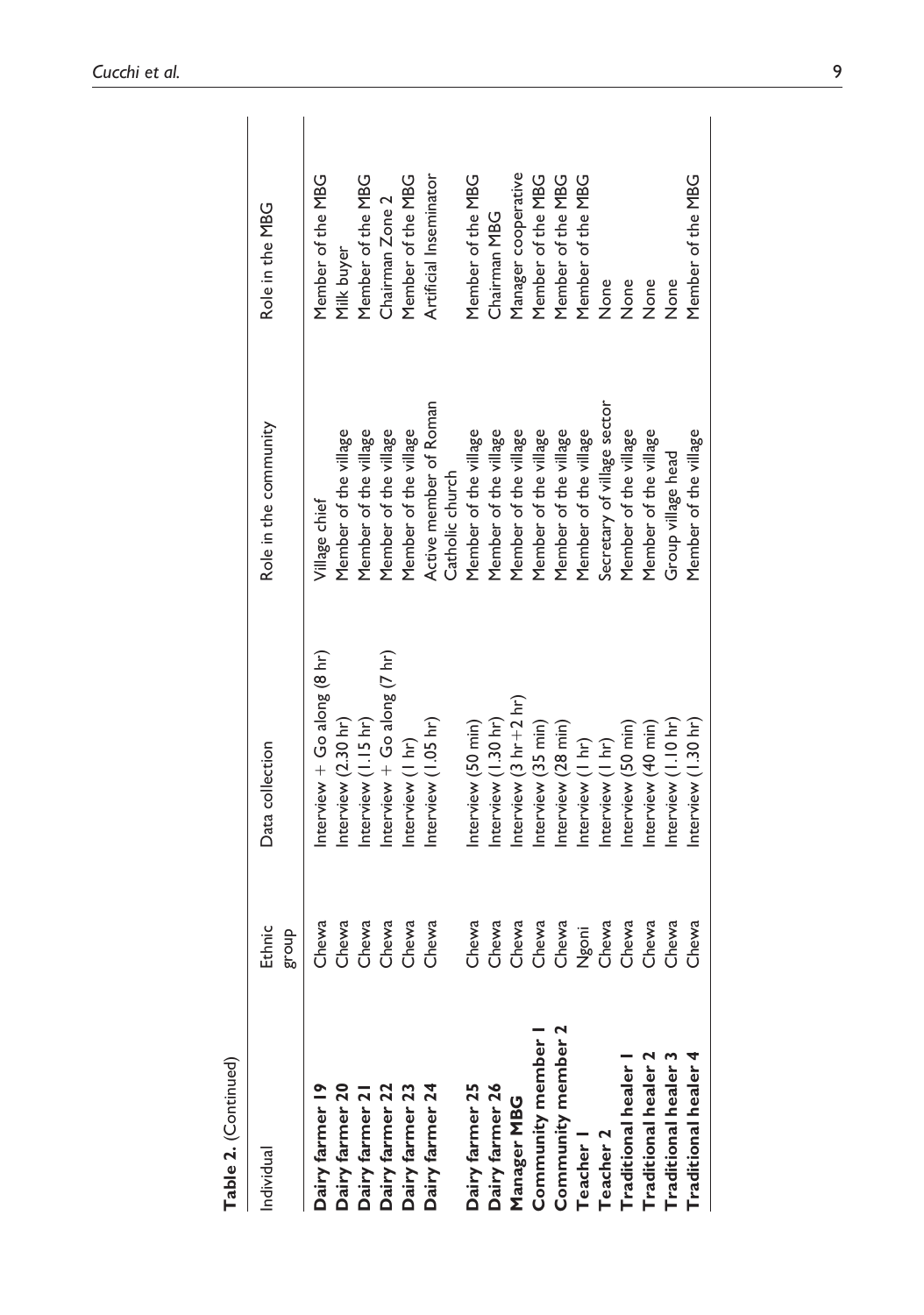| Manager cooperative<br>Member of the MBG<br>Member of the MBG<br>Member of the MBG<br>Member of the MBG<br>Artificial Inseminator<br>Member of the MBG<br>Member of the MBG<br>Member of the MBG<br>Member of the MBG<br>Chairman Zone 2<br>Role in the MBG<br>Chairman MBG<br>Milk buyer<br>None<br>None<br>None<br>None<br>Active member of Roman<br>Secretary of village sector<br>Role in the community<br>Member of the village<br>Member of the village<br>Member of the village<br>Member of the village<br>Member of the village<br>Member of the village<br>Member of the village<br>Member of the village<br>Member of the village<br>Member of the village<br>Member of the village<br>Member of the village<br>Member of the village<br>Group village head<br>Catholic church<br>Village chief<br>Interview $+$ Go along (7 hr)<br>Interview + Go along $(8 \text{ hr})$<br>Interview $(3 \ hr + 2 \ hr)$<br>Interview (I.I5 hr)<br>Interview (2.30 hr)<br>Interview (1.30 hr)<br>Interview (1.05 hr)<br>Interview (1.30 hr)<br>Interview $(1.10 \text{ hr})$<br>Interview (35 min)<br>Interview (50 min)<br>Interview (28 min)<br>Interview (40 min)<br>Interview (50 min)<br>Interview (I hr)<br>Interview (I hr)<br>Interview (I hr)<br>Data collection<br>Chewa<br>Chewa<br>Chewa<br>Chewa<br>Chewa<br>Chewa<br>Chewa<br>Chewa<br>Chewa<br>Chewa<br>Chewa<br>Chewa<br>Chewa<br>Chewa<br>Chewa<br>Chewa<br>Ethnic<br>Ngoni<br>dno.l <sup>8</sup><br>Community member 2<br>Community member I<br><b>Traditional healer 4</b><br><b>Traditional healer 2</b><br><b>Traditional healer 3</b><br><b>Traditional healer</b> 1<br>Dairy farmer 19<br>Dairy farmer 26<br>Dairy farmer 22<br>Dairy farmer 23<br>Dairy farmer 24<br>Dairy farmer 25<br>Manager MBG<br><b>Teacher 2</b><br><b>Teacher</b> I<br>Individual | Table 2. (Continued) |  |  |
|--------------------------------------------------------------------------------------------------------------------------------------------------------------------------------------------------------------------------------------------------------------------------------------------------------------------------------------------------------------------------------------------------------------------------------------------------------------------------------------------------------------------------------------------------------------------------------------------------------------------------------------------------------------------------------------------------------------------------------------------------------------------------------------------------------------------------------------------------------------------------------------------------------------------------------------------------------------------------------------------------------------------------------------------------------------------------------------------------------------------------------------------------------------------------------------------------------------------------------------------------------------------------------------------------------------------------------------------------------------------------------------------------------------------------------------------------------------------------------------------------------------------------------------------------------------------------------------------------------------------------------------------------------------------------------------------------------------------------------------------------------------------------------------------------------------------------------|----------------------|--|--|
| Dairy farmer 20<br>Dairy farmer 21                                                                                                                                                                                                                                                                                                                                                                                                                                                                                                                                                                                                                                                                                                                                                                                                                                                                                                                                                                                                                                                                                                                                                                                                                                                                                                                                                                                                                                                                                                                                                                                                                                                                                                                                                                                             |                      |  |  |
|                                                                                                                                                                                                                                                                                                                                                                                                                                                                                                                                                                                                                                                                                                                                                                                                                                                                                                                                                                                                                                                                                                                                                                                                                                                                                                                                                                                                                                                                                                                                                                                                                                                                                                                                                                                                                                |                      |  |  |
|                                                                                                                                                                                                                                                                                                                                                                                                                                                                                                                                                                                                                                                                                                                                                                                                                                                                                                                                                                                                                                                                                                                                                                                                                                                                                                                                                                                                                                                                                                                                                                                                                                                                                                                                                                                                                                |                      |  |  |
|                                                                                                                                                                                                                                                                                                                                                                                                                                                                                                                                                                                                                                                                                                                                                                                                                                                                                                                                                                                                                                                                                                                                                                                                                                                                                                                                                                                                                                                                                                                                                                                                                                                                                                                                                                                                                                |                      |  |  |
|                                                                                                                                                                                                                                                                                                                                                                                                                                                                                                                                                                                                                                                                                                                                                                                                                                                                                                                                                                                                                                                                                                                                                                                                                                                                                                                                                                                                                                                                                                                                                                                                                                                                                                                                                                                                                                |                      |  |  |
|                                                                                                                                                                                                                                                                                                                                                                                                                                                                                                                                                                                                                                                                                                                                                                                                                                                                                                                                                                                                                                                                                                                                                                                                                                                                                                                                                                                                                                                                                                                                                                                                                                                                                                                                                                                                                                |                      |  |  |
|                                                                                                                                                                                                                                                                                                                                                                                                                                                                                                                                                                                                                                                                                                                                                                                                                                                                                                                                                                                                                                                                                                                                                                                                                                                                                                                                                                                                                                                                                                                                                                                                                                                                                                                                                                                                                                |                      |  |  |
|                                                                                                                                                                                                                                                                                                                                                                                                                                                                                                                                                                                                                                                                                                                                                                                                                                                                                                                                                                                                                                                                                                                                                                                                                                                                                                                                                                                                                                                                                                                                                                                                                                                                                                                                                                                                                                |                      |  |  |
|                                                                                                                                                                                                                                                                                                                                                                                                                                                                                                                                                                                                                                                                                                                                                                                                                                                                                                                                                                                                                                                                                                                                                                                                                                                                                                                                                                                                                                                                                                                                                                                                                                                                                                                                                                                                                                |                      |  |  |
|                                                                                                                                                                                                                                                                                                                                                                                                                                                                                                                                                                                                                                                                                                                                                                                                                                                                                                                                                                                                                                                                                                                                                                                                                                                                                                                                                                                                                                                                                                                                                                                                                                                                                                                                                                                                                                |                      |  |  |
|                                                                                                                                                                                                                                                                                                                                                                                                                                                                                                                                                                                                                                                                                                                                                                                                                                                                                                                                                                                                                                                                                                                                                                                                                                                                                                                                                                                                                                                                                                                                                                                                                                                                                                                                                                                                                                |                      |  |  |
|                                                                                                                                                                                                                                                                                                                                                                                                                                                                                                                                                                                                                                                                                                                                                                                                                                                                                                                                                                                                                                                                                                                                                                                                                                                                                                                                                                                                                                                                                                                                                                                                                                                                                                                                                                                                                                |                      |  |  |
|                                                                                                                                                                                                                                                                                                                                                                                                                                                                                                                                                                                                                                                                                                                                                                                                                                                                                                                                                                                                                                                                                                                                                                                                                                                                                                                                                                                                                                                                                                                                                                                                                                                                                                                                                                                                                                |                      |  |  |
|                                                                                                                                                                                                                                                                                                                                                                                                                                                                                                                                                                                                                                                                                                                                                                                                                                                                                                                                                                                                                                                                                                                                                                                                                                                                                                                                                                                                                                                                                                                                                                                                                                                                                                                                                                                                                                |                      |  |  |
|                                                                                                                                                                                                                                                                                                                                                                                                                                                                                                                                                                                                                                                                                                                                                                                                                                                                                                                                                                                                                                                                                                                                                                                                                                                                                                                                                                                                                                                                                                                                                                                                                                                                                                                                                                                                                                |                      |  |  |
|                                                                                                                                                                                                                                                                                                                                                                                                                                                                                                                                                                                                                                                                                                                                                                                                                                                                                                                                                                                                                                                                                                                                                                                                                                                                                                                                                                                                                                                                                                                                                                                                                                                                                                                                                                                                                                |                      |  |  |
|                                                                                                                                                                                                                                                                                                                                                                                                                                                                                                                                                                                                                                                                                                                                                                                                                                                                                                                                                                                                                                                                                                                                                                                                                                                                                                                                                                                                                                                                                                                                                                                                                                                                                                                                                                                                                                |                      |  |  |
|                                                                                                                                                                                                                                                                                                                                                                                                                                                                                                                                                                                                                                                                                                                                                                                                                                                                                                                                                                                                                                                                                                                                                                                                                                                                                                                                                                                                                                                                                                                                                                                                                                                                                                                                                                                                                                |                      |  |  |
|                                                                                                                                                                                                                                                                                                                                                                                                                                                                                                                                                                                                                                                                                                                                                                                                                                                                                                                                                                                                                                                                                                                                                                                                                                                                                                                                                                                                                                                                                                                                                                                                                                                                                                                                                                                                                                |                      |  |  |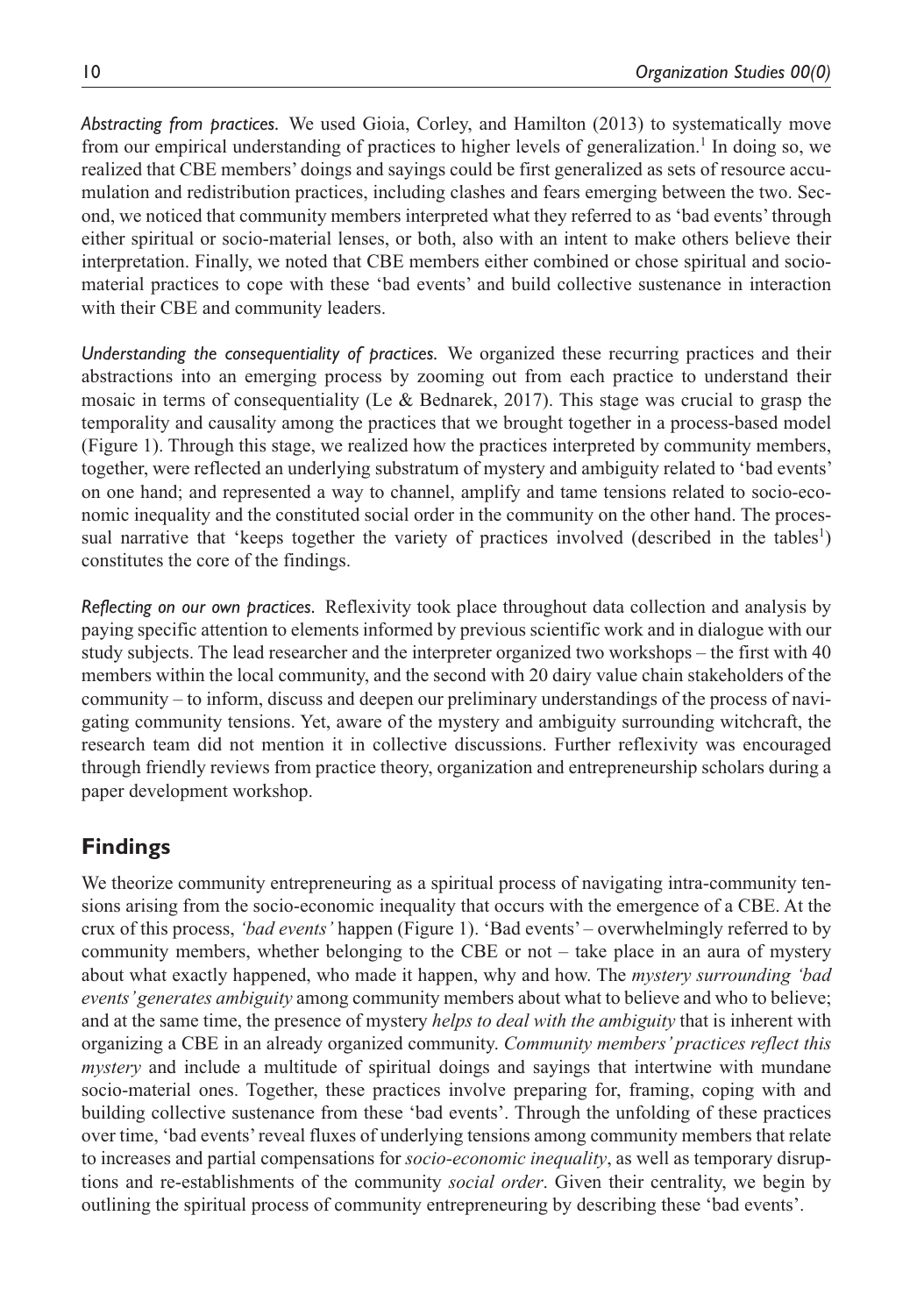*Abstracting from practices.* We used Gioia, Corley, and Hamilton (2013) to systematically move from our empirical understanding of practices to higher levels of generalization.<sup>1</sup> In doing so, we realized that CBE members' doings and sayings could be first generalized as sets of resource accumulation and redistribution practices, including clashes and fears emerging between the two. Second, we noticed that community members interpreted what they referred to as 'bad events' through either spiritual or socio-material lenses, or both, also with an intent to make others believe their interpretation. Finally, we noted that CBE members either combined or chose spiritual and sociomaterial practices to cope with these 'bad events' and build collective sustenance in interaction with their CBE and community leaders.

*Understanding the consequentiality of practices.* We organized these recurring practices and their abstractions into an emerging process by zooming out from each practice to understand their mosaic in terms of consequentiality (Le  $\&$  Bednarek, 2017). This stage was crucial to grasp the temporality and causality among the practices that we brought together in a process-based model (Figure 1). Through this stage, we realized how the practices interpreted by community members, together, were reflected an underlying substratum of mystery and ambiguity related to 'bad events' on one hand; and represented a way to channel, amplify and tame tensions related to socio-economic inequality and the constituted social order in the community on the other hand. The processual narrative that 'keeps together the variety of practices involved (described in the tables<sup>1</sup>) constitutes the core of the findings.

*Reflecting on our own practices.* Reflexivity took place throughout data collection and analysis by paying specific attention to elements informed by previous scientific work and in dialogue with our study subjects. The lead researcher and the interpreter organized two workshops – the first with 40 members within the local community, and the second with 20 dairy value chain stakeholders of the community – to inform, discuss and deepen our preliminary understandings of the process of navigating community tensions. Yet, aware of the mystery and ambiguity surrounding witchcraft, the research team did not mention it in collective discussions. Further reflexivity was encouraged through friendly reviews from practice theory, organization and entrepreneurship scholars during a paper development workshop.

## **Findings**

We theorize community entrepreneuring as a spiritual process of navigating intra-community tensions arising from the socio-economic inequality that occurs with the emergence of a CBE. At the crux of this process, *'bad events'* happen (Figure 1). 'Bad events' – overwhelmingly referred to by community members, whether belonging to the CBE or not – take place in an aura of mystery about what exactly happened, who made it happen, why and how. The *mystery surrounding 'bad events' generates ambiguity* among community members about what to believe and who to believe; and at the same time, the presence of mystery *helps to deal with the ambiguity* that is inherent with organizing a CBE in an already organized community. *Community members' practices reflect this mystery* and include a multitude of spiritual doings and sayings that intertwine with mundane socio-material ones. Together, these practices involve preparing for, framing, coping with and building collective sustenance from these 'bad events'. Through the unfolding of these practices over time, 'bad events' reveal fluxes of underlying tensions among community members that relate to increases and partial compensations for *socio-economic inequality*, as well as temporary disruptions and re-establishments of the community *social order*. Given their centrality, we begin by outlining the spiritual process of community entrepreneuring by describing these 'bad events'.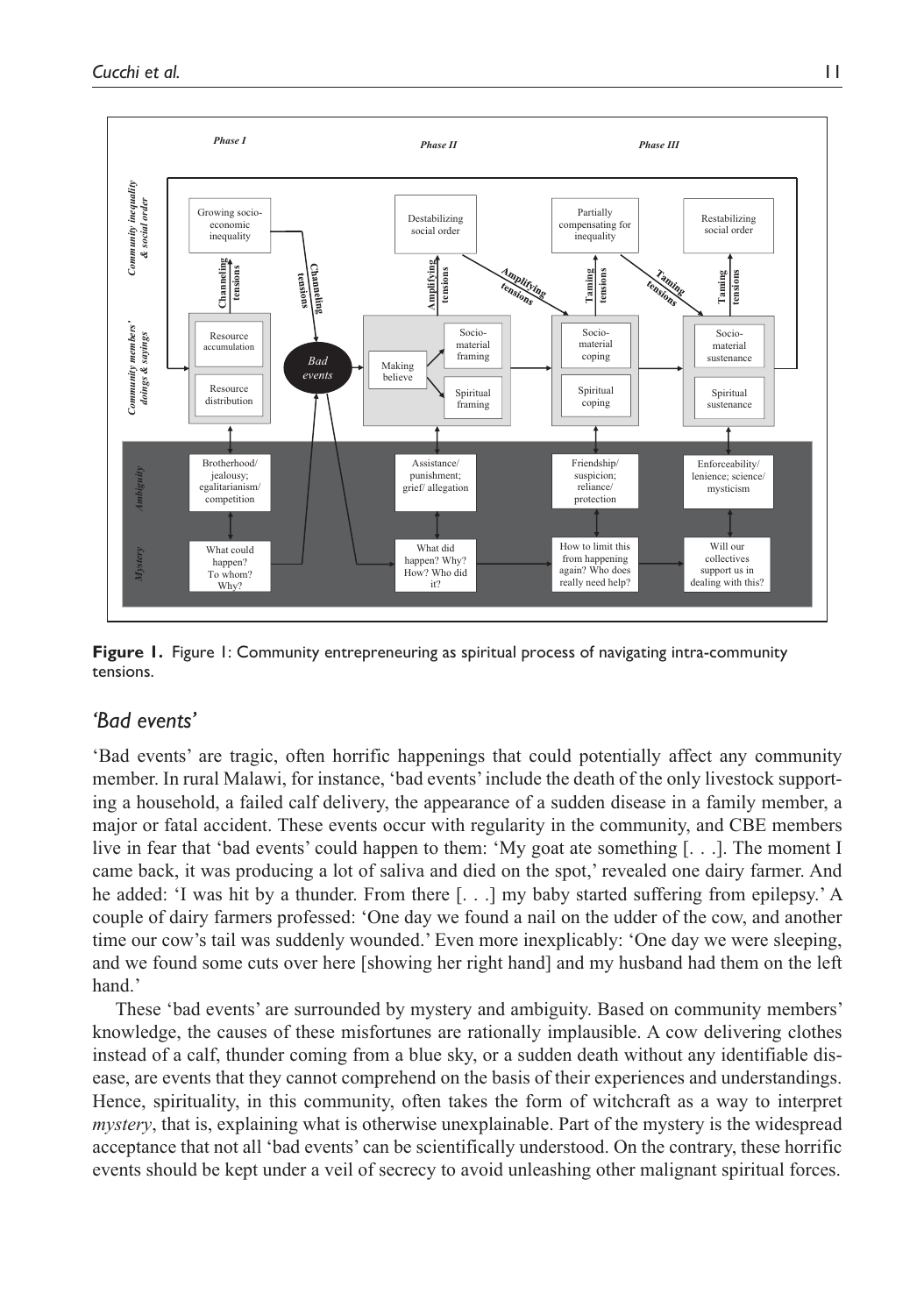

**Figure 1.** Figure 1: Community entrepreneuring as spiritual process of navigating intra-community tensions.

## *'Bad events'*

'Bad events' are tragic, often horrific happenings that could potentially affect any community member. In rural Malawi, for instance, 'bad events' include the death of the only livestock supporting a household, a failed calf delivery, the appearance of a sudden disease in a family member, a major or fatal accident. These events occur with regularity in the community, and CBE members live in fear that 'bad events' could happen to them: 'My goat ate something [. . .]. The moment I came back, it was producing a lot of saliva and died on the spot,' revealed one dairy farmer. And he added: 'I was hit by a thunder. From there [. . .] my baby started suffering from epilepsy.' A couple of dairy farmers professed: 'One day we found a nail on the udder of the cow, and another time our cow's tail was suddenly wounded.' Even more inexplicably: 'One day we were sleeping, and we found some cuts over here [showing her right hand] and my husband had them on the left hand.'

These 'bad events' are surrounded by mystery and ambiguity. Based on community members' knowledge, the causes of these misfortunes are rationally implausible. A cow delivering clothes instead of a calf, thunder coming from a blue sky, or a sudden death without any identifiable disease, are events that they cannot comprehend on the basis of their experiences and understandings. Hence, spirituality, in this community, often takes the form of witchcraft as a way to interpret *mystery*, that is, explaining what is otherwise unexplainable. Part of the mystery is the widespread acceptance that not all 'bad events' can be scientifically understood. On the contrary, these horrific events should be kept under a veil of secrecy to avoid unleashing other malignant spiritual forces.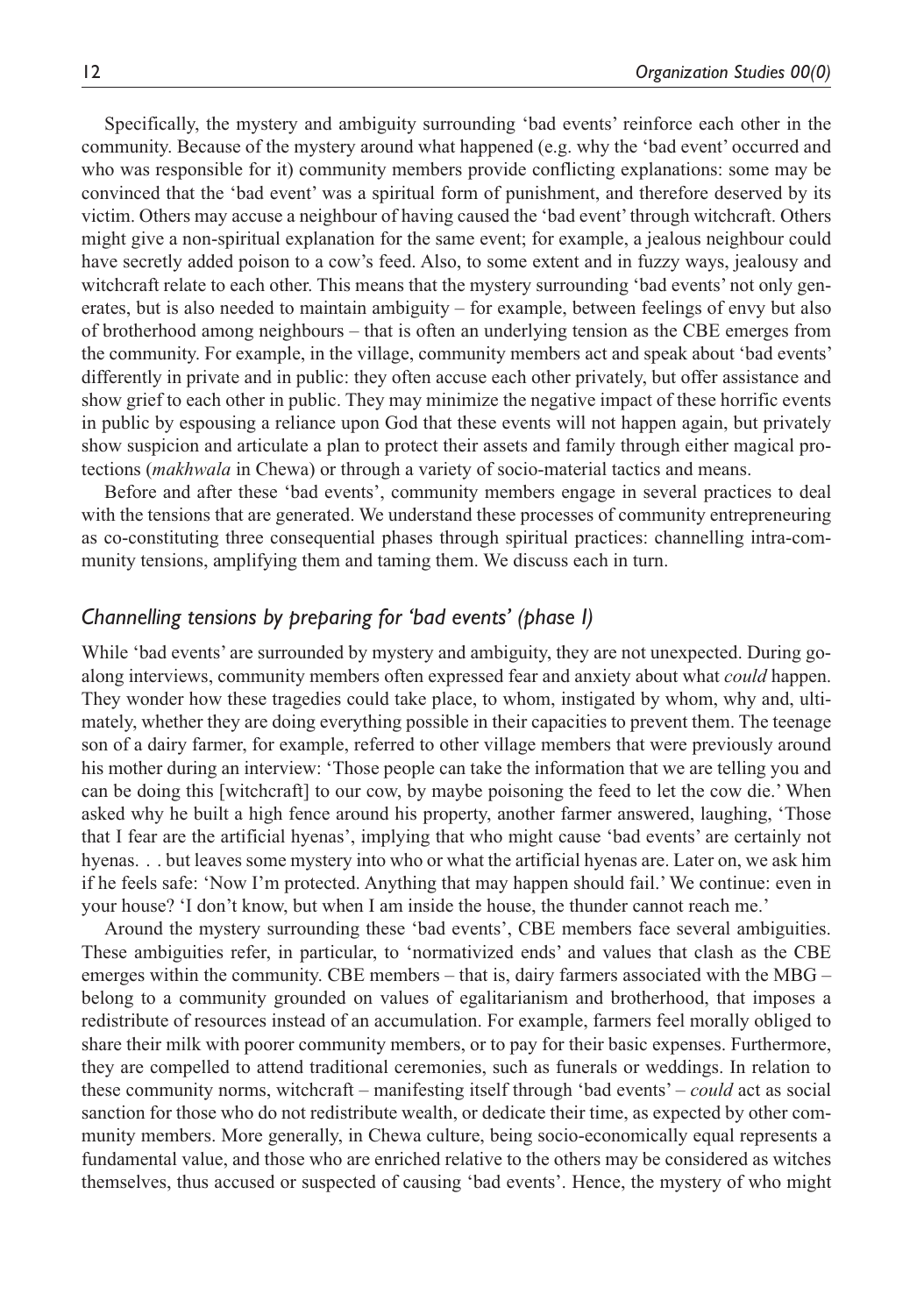Specifically, the mystery and ambiguity surrounding 'bad events' reinforce each other in the community. Because of the mystery around what happened (e.g. why the 'bad event' occurred and who was responsible for it) community members provide conflicting explanations: some may be convinced that the 'bad event' was a spiritual form of punishment, and therefore deserved by its victim. Others may accuse a neighbour of having caused the 'bad event' through witchcraft. Others might give a non-spiritual explanation for the same event; for example, a jealous neighbour could have secretly added poison to a cow's feed. Also, to some extent and in fuzzy ways, jealousy and witchcraft relate to each other. This means that the mystery surrounding 'bad events' not only generates, but is also needed to maintain ambiguity – for example, between feelings of envy but also of brotherhood among neighbours – that is often an underlying tension as the CBE emerges from the community. For example, in the village, community members act and speak about 'bad events' differently in private and in public: they often accuse each other privately, but offer assistance and show grief to each other in public. They may minimize the negative impact of these horrific events in public by espousing a reliance upon God that these events will not happen again, but privately show suspicion and articulate a plan to protect their assets and family through either magical protections (*makhwala* in Chewa) or through a variety of socio-material tactics and means.

Before and after these 'bad events', community members engage in several practices to deal with the tensions that are generated. We understand these processes of community entrepreneuring as co-constituting three consequential phases through spiritual practices: channelling intra-community tensions, amplifying them and taming them. We discuss each in turn.

## *Channelling tensions by preparing for 'bad events' (phase I)*

While 'bad events' are surrounded by mystery and ambiguity, they are not unexpected. During goalong interviews, community members often expressed fear and anxiety about what *could* happen. They wonder how these tragedies could take place, to whom, instigated by whom, why and, ultimately, whether they are doing everything possible in their capacities to prevent them. The teenage son of a dairy farmer, for example, referred to other village members that were previously around his mother during an interview: 'Those people can take the information that we are telling you and can be doing this [witchcraft] to our cow, by maybe poisoning the feed to let the cow die.' When asked why he built a high fence around his property, another farmer answered, laughing, 'Those that I fear are the artificial hyenas', implying that who might cause 'bad events' are certainly not hyenas. . . but leaves some mystery into who or what the artificial hyenas are. Later on, we ask him if he feels safe: 'Now I'm protected. Anything that may happen should fail.' We continue: even in your house? 'I don't know, but when I am inside the house, the thunder cannot reach me.'

Around the mystery surrounding these 'bad events', CBE members face several ambiguities. These ambiguities refer, in particular, to 'normativized ends' and values that clash as the CBE emerges within the community. CBE members – that is, dairy farmers associated with the MBG – belong to a community grounded on values of egalitarianism and brotherhood, that imposes a redistribute of resources instead of an accumulation. For example, farmers feel morally obliged to share their milk with poorer community members, or to pay for their basic expenses. Furthermore, they are compelled to attend traditional ceremonies, such as funerals or weddings. In relation to these community norms, witchcraft – manifesting itself through 'bad events' – *could* act as social sanction for those who do not redistribute wealth, or dedicate their time, as expected by other community members. More generally, in Chewa culture, being socio-economically equal represents a fundamental value, and those who are enriched relative to the others may be considered as witches themselves, thus accused or suspected of causing 'bad events'. Hence, the mystery of who might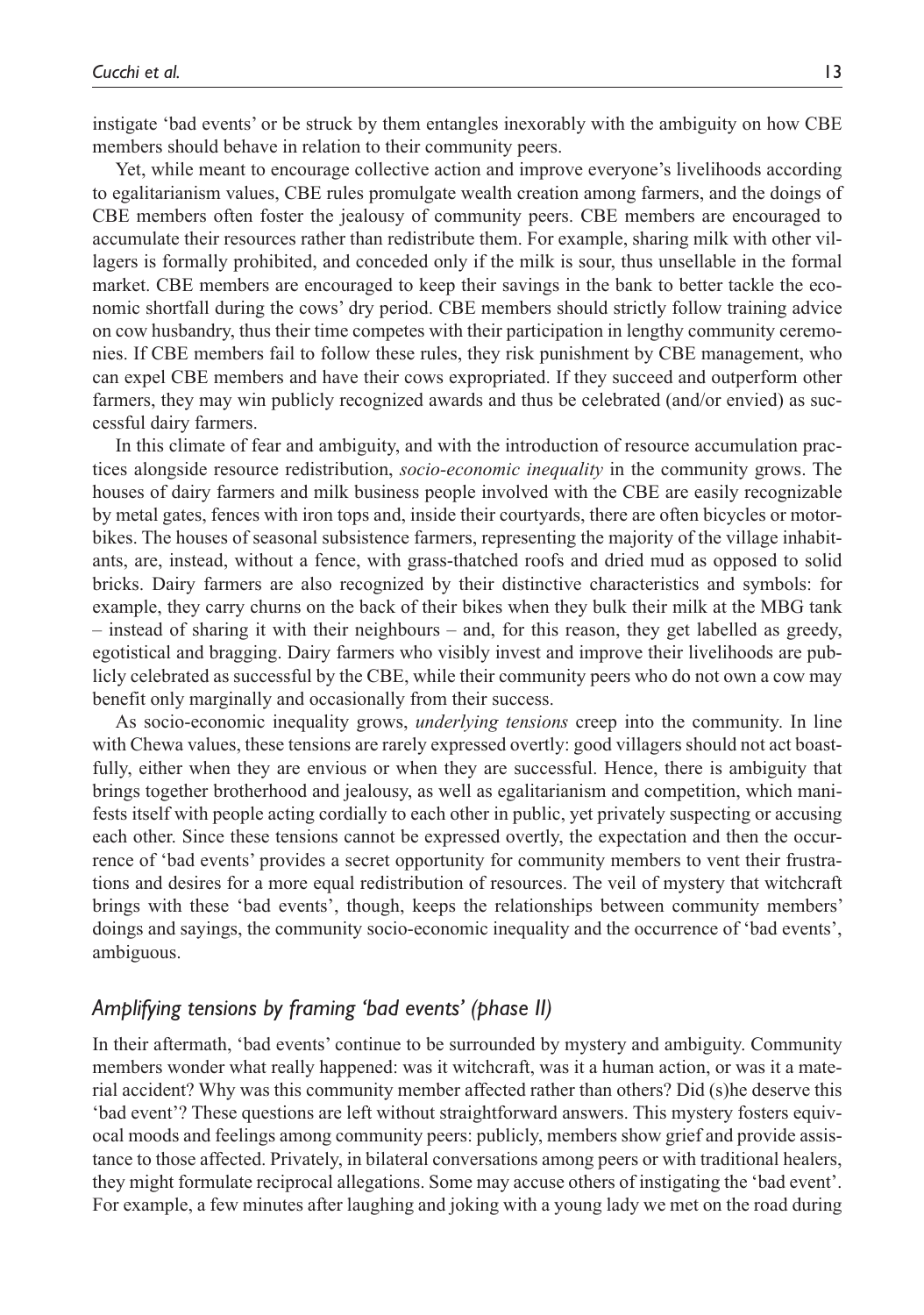instigate 'bad events' or be struck by them entangles inexorably with the ambiguity on how CBE members should behave in relation to their community peers.

Yet, while meant to encourage collective action and improve everyone's livelihoods according to egalitarianism values, CBE rules promulgate wealth creation among farmers, and the doings of CBE members often foster the jealousy of community peers. CBE members are encouraged to accumulate their resources rather than redistribute them. For example, sharing milk with other villagers is formally prohibited, and conceded only if the milk is sour, thus unsellable in the formal market. CBE members are encouraged to keep their savings in the bank to better tackle the economic shortfall during the cows' dry period. CBE members should strictly follow training advice on cow husbandry, thus their time competes with their participation in lengthy community ceremonies. If CBE members fail to follow these rules, they risk punishment by CBE management, who can expel CBE members and have their cows expropriated. If they succeed and outperform other farmers, they may win publicly recognized awards and thus be celebrated (and/or envied) as successful dairy farmers.

In this climate of fear and ambiguity, and with the introduction of resource accumulation practices alongside resource redistribution, *socio-economic inequality* in the community grows. The houses of dairy farmers and milk business people involved with the CBE are easily recognizable by metal gates, fences with iron tops and, inside their courtyards, there are often bicycles or motorbikes. The houses of seasonal subsistence farmers, representing the majority of the village inhabitants, are, instead, without a fence, with grass-thatched roofs and dried mud as opposed to solid bricks. Dairy farmers are also recognized by their distinctive characteristics and symbols: for example, they carry churns on the back of their bikes when they bulk their milk at the MBG tank – instead of sharing it with their neighbours – and, for this reason, they get labelled as greedy, egotistical and bragging. Dairy farmers who visibly invest and improve their livelihoods are publicly celebrated as successful by the CBE, while their community peers who do not own a cow may benefit only marginally and occasionally from their success.

As socio-economic inequality grows, *underlying tensions* creep into the community. In line with Chewa values, these tensions are rarely expressed overtly: good villagers should not act boastfully, either when they are envious or when they are successful. Hence, there is ambiguity that brings together brotherhood and jealousy, as well as egalitarianism and competition, which manifests itself with people acting cordially to each other in public, yet privately suspecting or accusing each other. Since these tensions cannot be expressed overtly, the expectation and then the occurrence of 'bad events' provides a secret opportunity for community members to vent their frustrations and desires for a more equal redistribution of resources. The veil of mystery that witchcraft brings with these 'bad events', though, keeps the relationships between community members' doings and sayings, the community socio-economic inequality and the occurrence of 'bad events', ambiguous.

### *Amplifying tensions by framing 'bad events' (phase II)*

In their aftermath, 'bad events' continue to be surrounded by mystery and ambiguity. Community members wonder what really happened: was it witchcraft, was it a human action, or was it a material accident? Why was this community member affected rather than others? Did (s)he deserve this 'bad event'? These questions are left without straightforward answers. This mystery fosters equivocal moods and feelings among community peers: publicly, members show grief and provide assistance to those affected. Privately, in bilateral conversations among peers or with traditional healers, they might formulate reciprocal allegations. Some may accuse others of instigating the 'bad event'. For example, a few minutes after laughing and joking with a young lady we met on the road during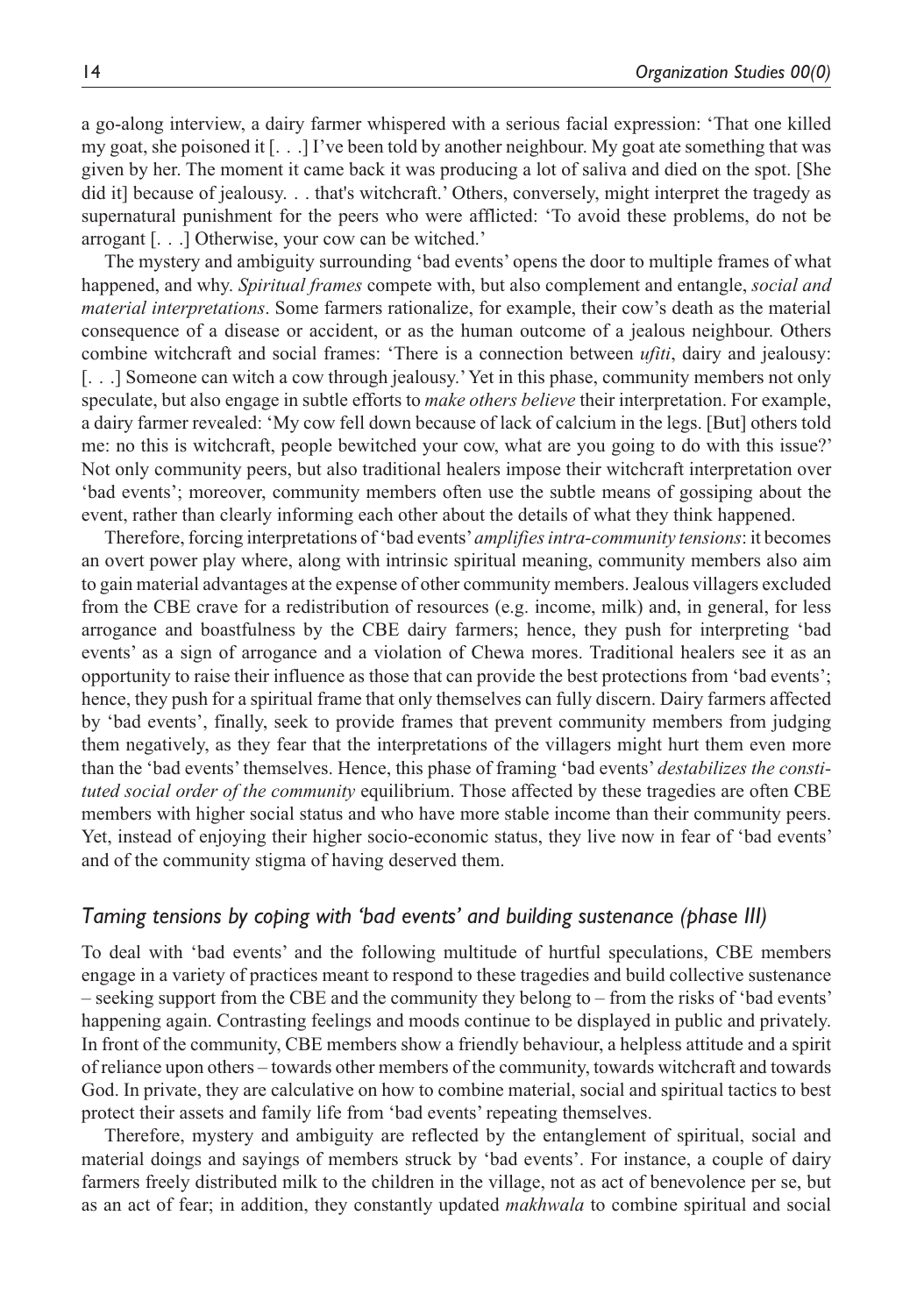a go-along interview, a dairy farmer whispered with a serious facial expression: 'That one killed my goat, she poisoned it [. . .] I've been told by another neighbour. My goat ate something that was given by her. The moment it came back it was producing a lot of saliva and died on the spot. [She did it] because of jealousy. . . that's witchcraft.' Others, conversely, might interpret the tragedy as supernatural punishment for the peers who were afflicted: 'To avoid these problems, do not be arrogant [. . .] Otherwise, your cow can be witched.'

The mystery and ambiguity surrounding 'bad events' opens the door to multiple frames of what happened, and why. *Spiritual frames* compete with, but also complement and entangle, *social and material interpretations*. Some farmers rationalize, for example, their cow's death as the material consequence of a disease or accident, or as the human outcome of a jealous neighbour. Others combine witchcraft and social frames: 'There is a connection between *ufiti*, dairy and jealousy: [. . .] Someone can witch a cow through jealousy.' Yet in this phase, community members not only speculate, but also engage in subtle efforts to *make others believe* their interpretation. For example, a dairy farmer revealed: 'My cow fell down because of lack of calcium in the legs. [But] others told me: no this is witchcraft, people bewitched your cow, what are you going to do with this issue?' Not only community peers, but also traditional healers impose their witchcraft interpretation over 'bad events'; moreover, community members often use the subtle means of gossiping about the event, rather than clearly informing each other about the details of what they think happened.

Therefore, forcing interpretations of 'bad events' *amplifies intra-community tensions*: it becomes an overt power play where, along with intrinsic spiritual meaning, community members also aim to gain material advantages at the expense of other community members. Jealous villagers excluded from the CBE crave for a redistribution of resources (e.g. income, milk) and, in general, for less arrogance and boastfulness by the CBE dairy farmers; hence, they push for interpreting 'bad events' as a sign of arrogance and a violation of Chewa mores. Traditional healers see it as an opportunity to raise their influence as those that can provide the best protections from 'bad events'; hence, they push for a spiritual frame that only themselves can fully discern. Dairy farmers affected by 'bad events', finally, seek to provide frames that prevent community members from judging them negatively, as they fear that the interpretations of the villagers might hurt them even more than the 'bad events' themselves. Hence, this phase of framing 'bad events' *destabilizes the constituted social order of the community* equilibrium. Those affected by these tragedies are often CBE members with higher social status and who have more stable income than their community peers. Yet, instead of enjoying their higher socio-economic status, they live now in fear of 'bad events' and of the community stigma of having deserved them.

#### *Taming tensions by coping with 'bad events' and building sustenance (phase III)*

To deal with 'bad events' and the following multitude of hurtful speculations, CBE members engage in a variety of practices meant to respond to these tragedies and build collective sustenance – seeking support from the CBE and the community they belong to – from the risks of 'bad events' happening again. Contrasting feelings and moods continue to be displayed in public and privately. In front of the community, CBE members show a friendly behaviour, a helpless attitude and a spirit of reliance upon others – towards other members of the community, towards witchcraft and towards God. In private, they are calculative on how to combine material, social and spiritual tactics to best protect their assets and family life from 'bad events' repeating themselves.

Therefore, mystery and ambiguity are reflected by the entanglement of spiritual, social and material doings and sayings of members struck by 'bad events'. For instance, a couple of dairy farmers freely distributed milk to the children in the village, not as act of benevolence per se, but as an act of fear; in addition, they constantly updated *makhwala* to combine spiritual and social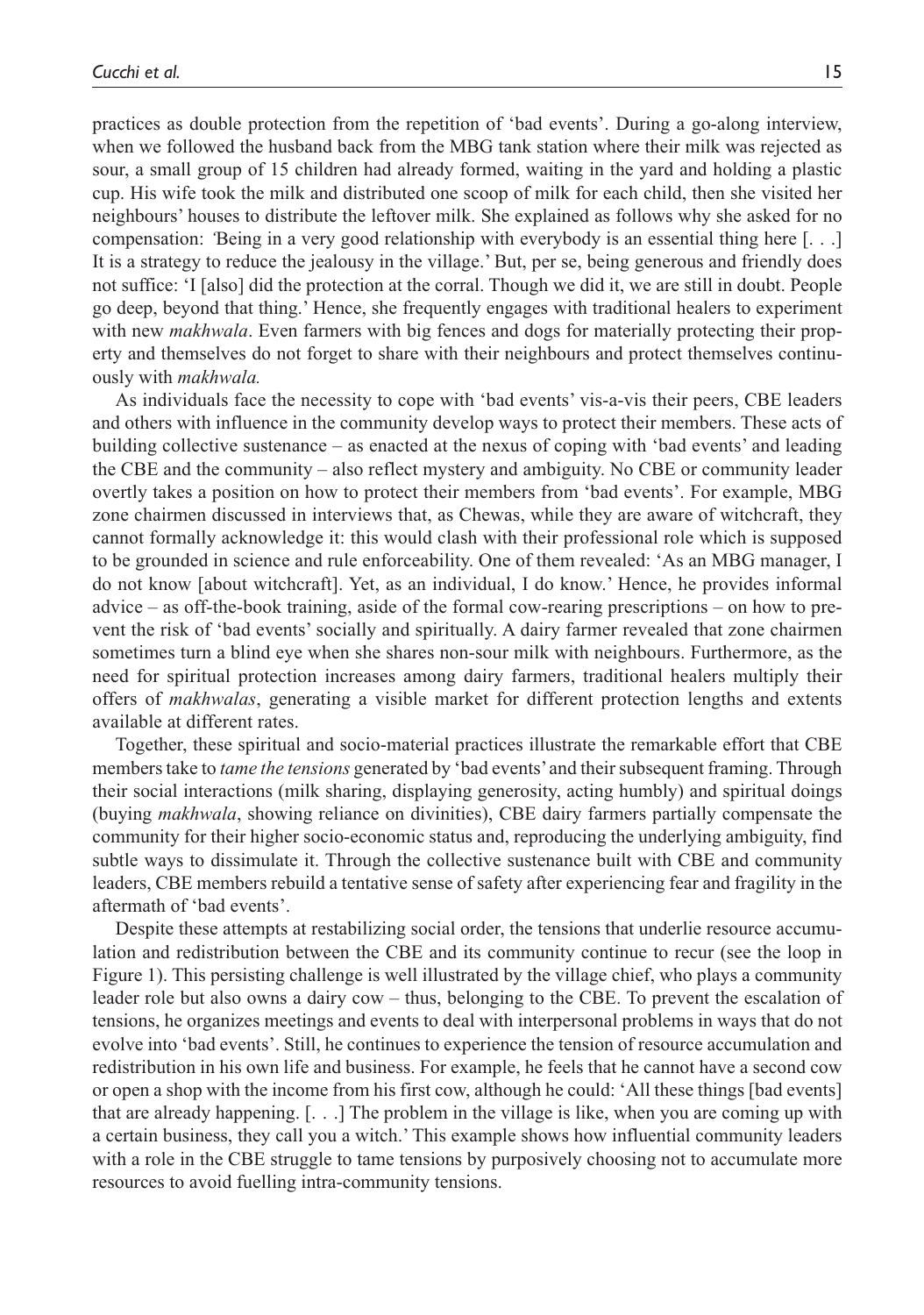practices as double protection from the repetition of 'bad events'. During a go-along interview, when we followed the husband back from the MBG tank station where their milk was rejected as sour, a small group of 15 children had already formed, waiting in the yard and holding a plastic cup. His wife took the milk and distributed one scoop of milk for each child, then she visited her neighbours' houses to distribute the leftover milk. She explained as follows why she asked for no compensation: *'*Being in a very good relationship with everybody is an essential thing here [. . .] It is a strategy to reduce the jealousy in the village.' But, per se, being generous and friendly does not suffice: 'I [also] did the protection at the corral. Though we did it, we are still in doubt. People go deep, beyond that thing.' Hence, she frequently engages with traditional healers to experiment with new *makhwala*. Even farmers with big fences and dogs for materially protecting their property and themselves do not forget to share with their neighbours and protect themselves continuously with *makhwala.*

As individuals face the necessity to cope with 'bad events' vis-a-vis their peers, CBE leaders and others with influence in the community develop ways to protect their members. These acts of building collective sustenance – as enacted at the nexus of coping with 'bad events' and leading the CBE and the community – also reflect mystery and ambiguity. No CBE or community leader overtly takes a position on how to protect their members from 'bad events'. For example, MBG zone chairmen discussed in interviews that, as Chewas, while they are aware of witchcraft, they cannot formally acknowledge it: this would clash with their professional role which is supposed to be grounded in science and rule enforceability. One of them revealed: 'As an MBG manager, I do not know [about witchcraft]. Yet, as an individual, I do know.' Hence, he provides informal advice – as off-the-book training, aside of the formal cow-rearing prescriptions – on how to prevent the risk of 'bad events' socially and spiritually. A dairy farmer revealed that zone chairmen sometimes turn a blind eye when she shares non-sour milk with neighbours. Furthermore, as the need for spiritual protection increases among dairy farmers, traditional healers multiply their offers of *makhwalas*, generating a visible market for different protection lengths and extents available at different rates.

Together, these spiritual and socio-material practices illustrate the remarkable effort that CBE members take to *tame the tensions* generated by 'bad events' and their subsequent framing. Through their social interactions (milk sharing, displaying generosity, acting humbly) and spiritual doings (buying *makhwala*, showing reliance on divinities), CBE dairy farmers partially compensate the community for their higher socio-economic status and, reproducing the underlying ambiguity, find subtle ways to dissimulate it. Through the collective sustenance built with CBE and community leaders, CBE members rebuild a tentative sense of safety after experiencing fear and fragility in the aftermath of 'bad events'.

Despite these attempts at restabilizing social order, the tensions that underlie resource accumulation and redistribution between the CBE and its community continue to recur (see the loop in Figure 1). This persisting challenge is well illustrated by the village chief, who plays a community leader role but also owns a dairy cow – thus, belonging to the CBE. To prevent the escalation of tensions, he organizes meetings and events to deal with interpersonal problems in ways that do not evolve into 'bad events'. Still, he continues to experience the tension of resource accumulation and redistribution in his own life and business. For example, he feels that he cannot have a second cow or open a shop with the income from his first cow, although he could: 'All these things [bad events] that are already happening. [. . .] The problem in the village is like, when you are coming up with a certain business, they call you a witch.' This example shows how influential community leaders with a role in the CBE struggle to tame tensions by purposively choosing not to accumulate more resources to avoid fuelling intra-community tensions.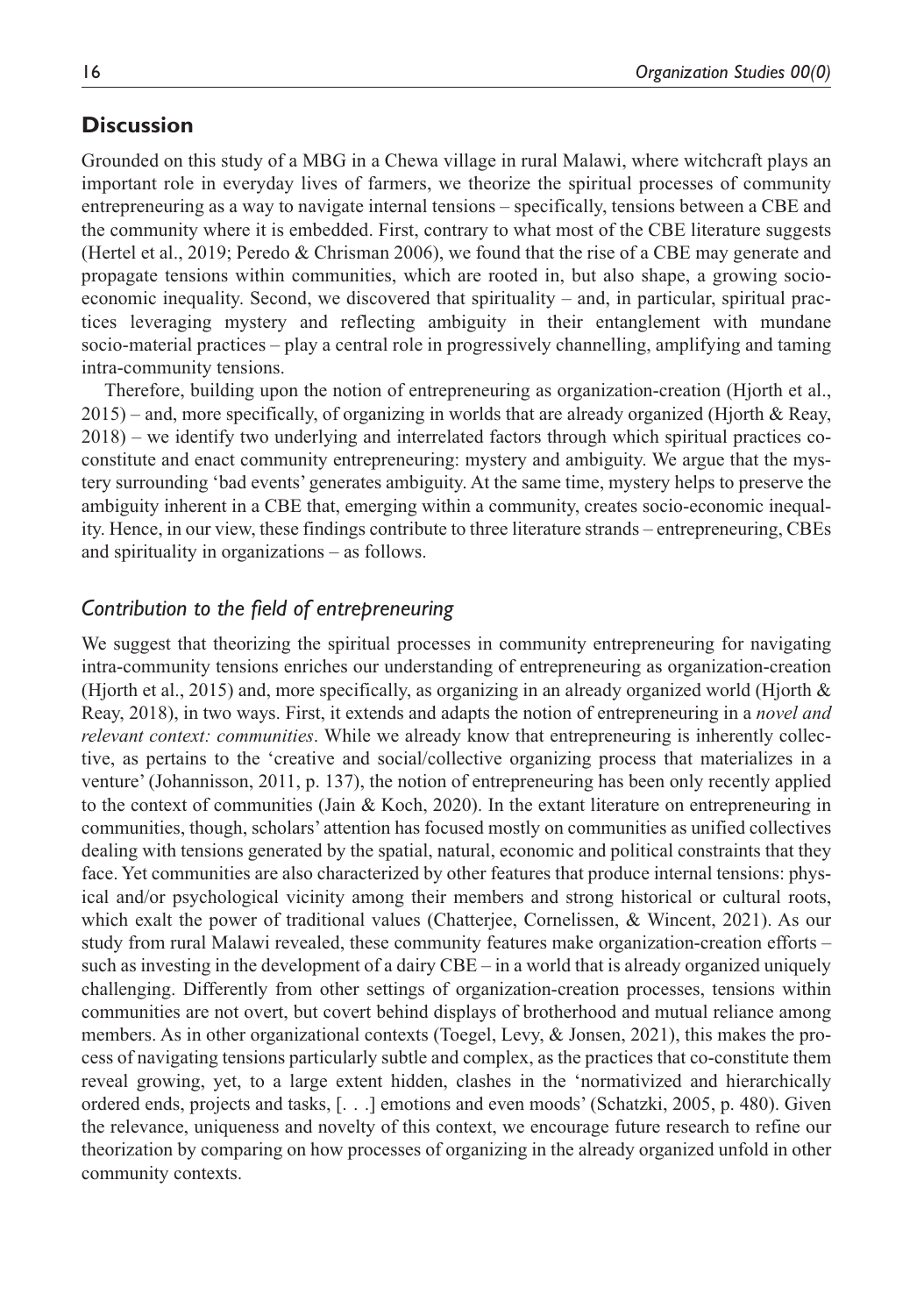## **Discussion**

Grounded on this study of a MBG in a Chewa village in rural Malawi, where witchcraft plays an important role in everyday lives of farmers, we theorize the spiritual processes of community entrepreneuring as a way to navigate internal tensions – specifically, tensions between a CBE and the community where it is embedded. First, contrary to what most of the CBE literature suggests (Hertel et al., 2019; Peredo & Chrisman 2006), we found that the rise of a CBE may generate and propagate tensions within communities, which are rooted in, but also shape, a growing socioeconomic inequality. Second, we discovered that spirituality – and, in particular, spiritual practices leveraging mystery and reflecting ambiguity in their entanglement with mundane socio-material practices – play a central role in progressively channelling, amplifying and taming intra-community tensions.

Therefore, building upon the notion of entrepreneuring as organization-creation (Hjorth et al., 2015) – and, more specifically, of organizing in worlds that are already organized (Hjorth & Reay, 2018) – we identify two underlying and interrelated factors through which spiritual practices coconstitute and enact community entrepreneuring: mystery and ambiguity. We argue that the mystery surrounding 'bad events' generates ambiguity. At the same time, mystery helps to preserve the ambiguity inherent in a CBE that, emerging within a community, creates socio-economic inequality. Hence, in our view, these findings contribute to three literature strands – entrepreneuring, CBEs and spirituality in organizations – as follows.

## *Contribution to the field of entrepreneuring*

We suggest that theorizing the spiritual processes in community entrepreneuring for navigating intra-community tensions enriches our understanding of entrepreneuring as organization-creation (Hjorth et al., 2015) and, more specifically, as organizing in an already organized world (Hjorth & Reay, 2018), in two ways. First, it extends and adapts the notion of entrepreneuring in a *novel and relevant context: communities*. While we already know that entrepreneuring is inherently collective, as pertains to the 'creative and social/collective organizing process that materializes in a venture' (Johannisson, 2011, p. 137), the notion of entrepreneuring has been only recently applied to the context of communities (Jain & Koch, 2020). In the extant literature on entrepreneuring in communities, though, scholars' attention has focused mostly on communities as unified collectives dealing with tensions generated by the spatial, natural, economic and political constraints that they face. Yet communities are also characterized by other features that produce internal tensions: physical and/or psychological vicinity among their members and strong historical or cultural roots, which exalt the power of traditional values (Chatterjee, Cornelissen, & Wincent, 2021). As our study from rural Malawi revealed, these community features make organization-creation efforts – such as investing in the development of a dairy CBE – in a world that is already organized uniquely challenging. Differently from other settings of organization-creation processes, tensions within communities are not overt, but covert behind displays of brotherhood and mutual reliance among members. As in other organizational contexts (Toegel, Levy, & Jonsen, 2021), this makes the process of navigating tensions particularly subtle and complex, as the practices that co-constitute them reveal growing, yet, to a large extent hidden, clashes in the 'normativized and hierarchically ordered ends, projects and tasks, [. . .] emotions and even moods' (Schatzki, 2005, p. 480). Given the relevance, uniqueness and novelty of this context, we encourage future research to refine our theorization by comparing on how processes of organizing in the already organized unfold in other community contexts.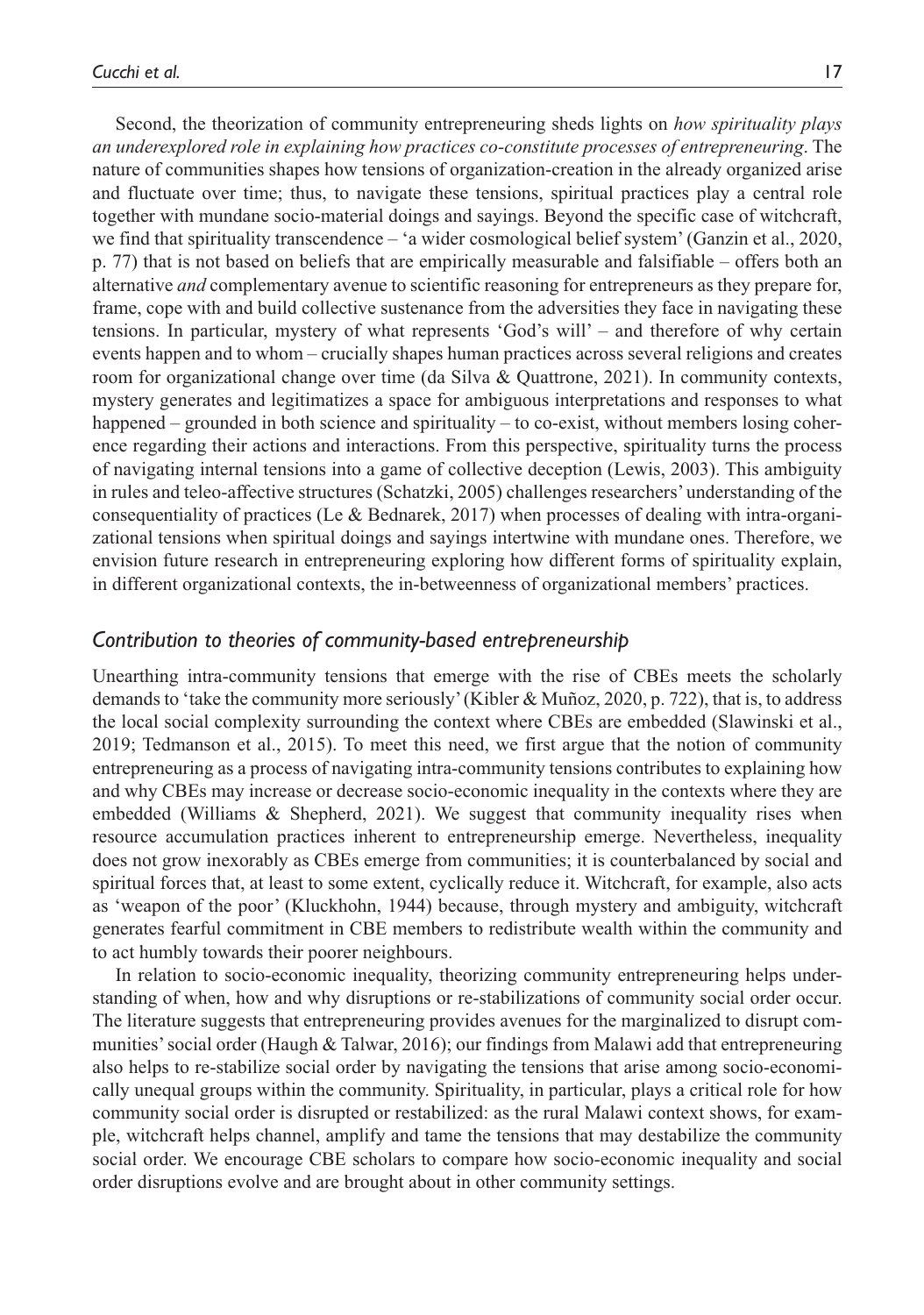Second, the theorization of community entrepreneuring sheds lights on *how spirituality plays an underexplored role in explaining how practices co-constitute processes of entrepreneuring*. The nature of communities shapes how tensions of organization-creation in the already organized arise and fluctuate over time; thus, to navigate these tensions, spiritual practices play a central role together with mundane socio-material doings and sayings. Beyond the specific case of witchcraft, we find that spirituality transcendence – 'a wider cosmological belief system' (Ganzin et al., 2020, p. 77) that is not based on beliefs that are empirically measurable and falsifiable – offers both an alternative *and* complementary avenue to scientific reasoning for entrepreneurs as they prepare for, frame, cope with and build collective sustenance from the adversities they face in navigating these tensions. In particular, mystery of what represents 'God's will' – and therefore of why certain events happen and to whom – crucially shapes human practices across several religions and creates room for organizational change over time (da Silva & Quattrone, 2021). In community contexts, mystery generates and legitimatizes a space for ambiguous interpretations and responses to what happened – grounded in both science and spirituality – to co-exist, without members losing coherence regarding their actions and interactions. From this perspective, spirituality turns the process of navigating internal tensions into a game of collective deception (Lewis, 2003). This ambiguity in rules and teleo-affective structures (Schatzki, 2005) challenges researchers' understanding of the consequentiality of practices (Le & Bednarek, 2017) when processes of dealing with intra-organizational tensions when spiritual doings and sayings intertwine with mundane ones. Therefore, we envision future research in entrepreneuring exploring how different forms of spirituality explain, in different organizational contexts, the in-betweenness of organizational members' practices.

#### *Contribution to theories of community-based entrepreneurship*

Unearthing intra-community tensions that emerge with the rise of CBEs meets the scholarly demands to 'take the community more seriously' (Kibler & Muñoz, 2020, p. 722), that is, to address the local social complexity surrounding the context where CBEs are embedded (Slawinski et al., 2019; Tedmanson et al., 2015). To meet this need, we first argue that the notion of community entrepreneuring as a process of navigating intra-community tensions contributes to explaining how and why CBEs may increase or decrease socio-economic inequality in the contexts where they are embedded (Williams & Shepherd, 2021). We suggest that community inequality rises when resource accumulation practices inherent to entrepreneurship emerge. Nevertheless, inequality does not grow inexorably as CBEs emerge from communities; it is counterbalanced by social and spiritual forces that, at least to some extent, cyclically reduce it. Witchcraft, for example, also acts as 'weapon of the poor' (Kluckhohn, 1944) because, through mystery and ambiguity, witchcraft generates fearful commitment in CBE members to redistribute wealth within the community and to act humbly towards their poorer neighbours.

In relation to socio-economic inequality, theorizing community entrepreneuring helps understanding of when, how and why disruptions or re-stabilizations of community social order occur. The literature suggests that entrepreneuring provides avenues for the marginalized to disrupt communities' social order (Haugh & Talwar, 2016); our findings from Malawi add that entrepreneuring also helps to re-stabilize social order by navigating the tensions that arise among socio-economically unequal groups within the community. Spirituality, in particular, plays a critical role for how community social order is disrupted or restabilized: as the rural Malawi context shows, for example, witchcraft helps channel, amplify and tame the tensions that may destabilize the community social order. We encourage CBE scholars to compare how socio-economic inequality and social order disruptions evolve and are brought about in other community settings.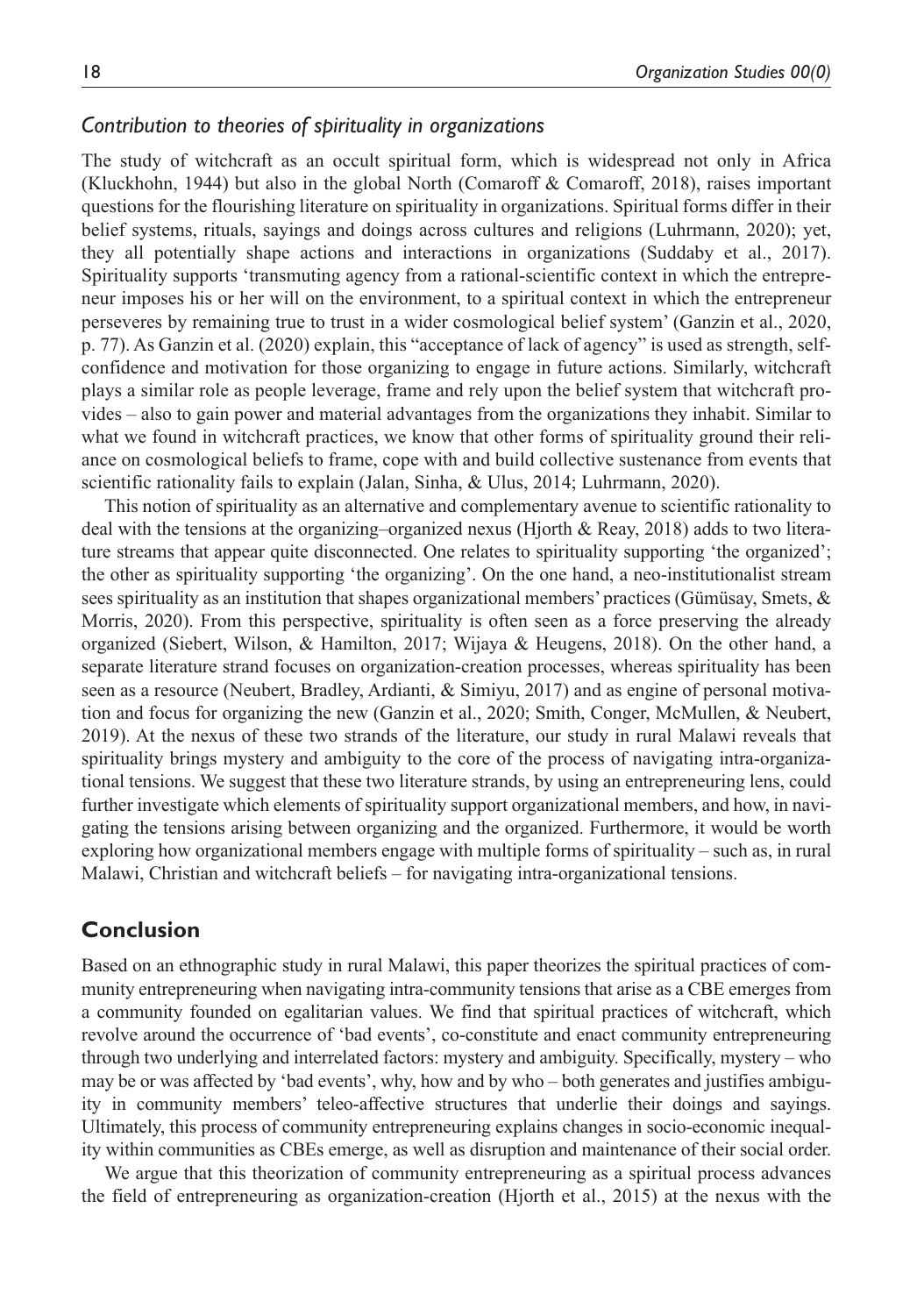## *Contribution to theories of spirituality in organizations*

The study of witchcraft as an occult spiritual form, which is widespread not only in Africa (Kluckhohn, 1944) but also in the global North (Comaroff & Comaroff, 2018), raises important questions for the flourishing literature on spirituality in organizations. Spiritual forms differ in their belief systems, rituals, sayings and doings across cultures and religions (Luhrmann, 2020); yet, they all potentially shape actions and interactions in organizations (Suddaby et al., 2017). Spirituality supports 'transmuting agency from a rational-scientific context in which the entrepreneur imposes his or her will on the environment, to a spiritual context in which the entrepreneur perseveres by remaining true to trust in a wider cosmological belief system' (Ganzin et al., 2020, p. 77). As Ganzin et al. (2020) explain, this "acceptance of lack of agency" is used as strength, selfconfidence and motivation for those organizing to engage in future actions. Similarly, witchcraft plays a similar role as people leverage, frame and rely upon the belief system that witchcraft provides – also to gain power and material advantages from the organizations they inhabit. Similar to what we found in witchcraft practices, we know that other forms of spirituality ground their reliance on cosmological beliefs to frame, cope with and build collective sustenance from events that scientific rationality fails to explain (Jalan, Sinha, & Ulus, 2014; Luhrmann, 2020).

This notion of spirituality as an alternative and complementary avenue to scientific rationality to deal with the tensions at the organizing–organized nexus (Hjorth & Reay, 2018) adds to two literature streams that appear quite disconnected. One relates to spirituality supporting 'the organized'; the other as spirituality supporting 'the organizing'. On the one hand, a neo-institutionalist stream sees spirituality as an institution that shapes organizational members' practices (Gümüsay, Smets, & Morris, 2020). From this perspective, spirituality is often seen as a force preserving the already organized (Siebert, Wilson, & Hamilton, 2017; Wijaya & Heugens, 2018). On the other hand, a separate literature strand focuses on organization-creation processes, whereas spirituality has been seen as a resource (Neubert, Bradley, Ardianti, & Simiyu, 2017) and as engine of personal motivation and focus for organizing the new (Ganzin et al., 2020; Smith, Conger, McMullen, & Neubert, 2019). At the nexus of these two strands of the literature, our study in rural Malawi reveals that spirituality brings mystery and ambiguity to the core of the process of navigating intra-organizational tensions. We suggest that these two literature strands, by using an entrepreneuring lens, could further investigate which elements of spirituality support organizational members, and how, in navigating the tensions arising between organizing and the organized. Furthermore, it would be worth exploring how organizational members engage with multiple forms of spirituality – such as, in rural Malawi, Christian and witchcraft beliefs – for navigating intra-organizational tensions.

### **Conclusion**

Based on an ethnographic study in rural Malawi, this paper theorizes the spiritual practices of community entrepreneuring when navigating intra-community tensions that arise as a CBE emerges from a community founded on egalitarian values. We find that spiritual practices of witchcraft, which revolve around the occurrence of 'bad events', co-constitute and enact community entrepreneuring through two underlying and interrelated factors: mystery and ambiguity. Specifically, mystery – who may be or was affected by 'bad events', why, how and by who – both generates and justifies ambiguity in community members' teleo-affective structures that underlie their doings and sayings. Ultimately, this process of community entrepreneuring explains changes in socio-economic inequality within communities as CBEs emerge, as well as disruption and maintenance of their social order.

We argue that this theorization of community entrepreneuring as a spiritual process advances the field of entrepreneuring as organization-creation (Hjorth et al., 2015) at the nexus with the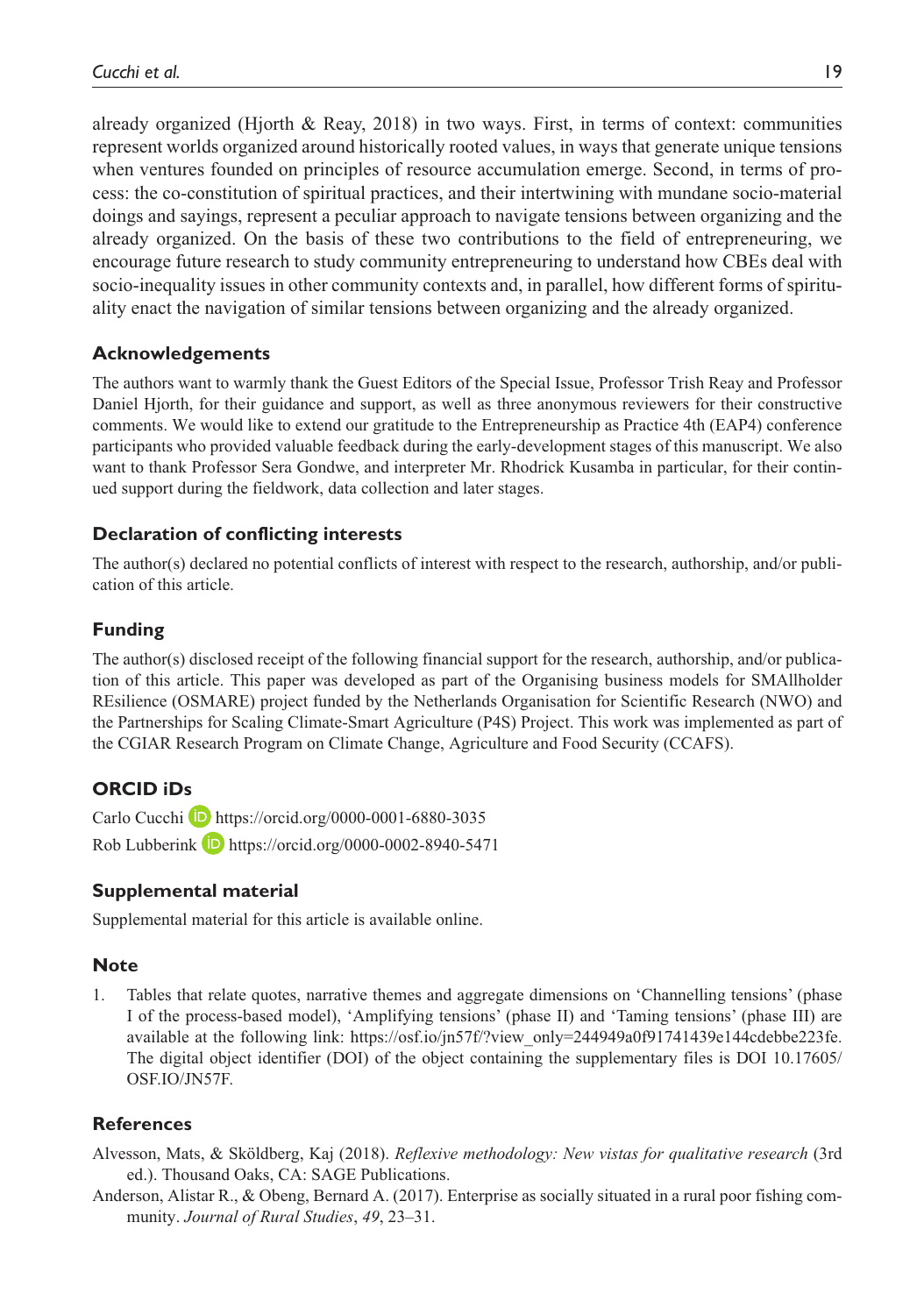already organized (Hjorth & Reay, 2018) in two ways. First, in terms of context: communities represent worlds organized around historically rooted values, in ways that generate unique tensions when ventures founded on principles of resource accumulation emerge. Second, in terms of process: the co-constitution of spiritual practices, and their intertwining with mundane socio-material doings and sayings, represent a peculiar approach to navigate tensions between organizing and the already organized. On the basis of these two contributions to the field of entrepreneuring, we encourage future research to study community entrepreneuring to understand how CBEs deal with socio-inequality issues in other community contexts and, in parallel, how different forms of spirituality enact the navigation of similar tensions between organizing and the already organized.

#### **Acknowledgements**

The authors want to warmly thank the Guest Editors of the Special Issue, Professor Trish Reay and Professor Daniel Hjorth, for their guidance and support, as well as three anonymous reviewers for their constructive comments. We would like to extend our gratitude to the Entrepreneurship as Practice 4th (EAP4) conference participants who provided valuable feedback during the early-development stages of this manuscript. We also want to thank Professor Sera Gondwe, and interpreter Mr. Rhodrick Kusamba in particular, for their continued support during the fieldwork, data collection and later stages.

#### **Declaration of conflicting interests**

The author(s) declared no potential conflicts of interest with respect to the research, authorship, and/or publication of this article.

#### **Funding**

The author(s) disclosed receipt of the following financial support for the research, authorship, and/or publication of this article. This paper was developed as part of the Organising business models for SMAllholder REsilience (OSMARE) project funded by the Netherlands Organisation for Scientific Research (NWO) and the Partnerships for Scaling Climate-Smart Agriculture (P4S) Project. This work was implemented as part of the CGIAR Research Program on Climate Change, Agriculture and Food Security (CCAFS).

#### **ORCID iDs**

Carlo Cucchi **D** https://orcid.org/0000-0001-6880-3035 Rob Lubberink D <https://orcid.org/0000-0002-8940-5471>

#### **Supplemental material**

Supplemental material for this article is available online.

#### **Note**

1. Tables that relate quotes, narrative themes and aggregate dimensions on 'Channelling tensions' (phase I of the process-based model), 'Amplifying tensions' (phase II) and 'Taming tensions' (phase III) are available at the following link: [https://osf.io/jn57f/?view\\_only=244949a0f91741439e144cdebbe223fe](https://osf.io/jn57f/?view_only=244949a0f91741439e144cdebbe223fe). The digital object identifier (DOI) of the object containing the supplementary files is DOI 10.17605/ OSF.IO/JN57F.

#### **References**

- Alvesson, Mats, & Sköldberg, Kaj (2018). *Reflexive methodology: New vistas for qualitative research* (3rd ed.). Thousand Oaks, CA: SAGE Publications.
- Anderson, Alistar R., & Obeng, Bernard A. (2017). Enterprise as socially situated in a rural poor fishing community. *Journal of Rural Studies*, *49*, 23–31.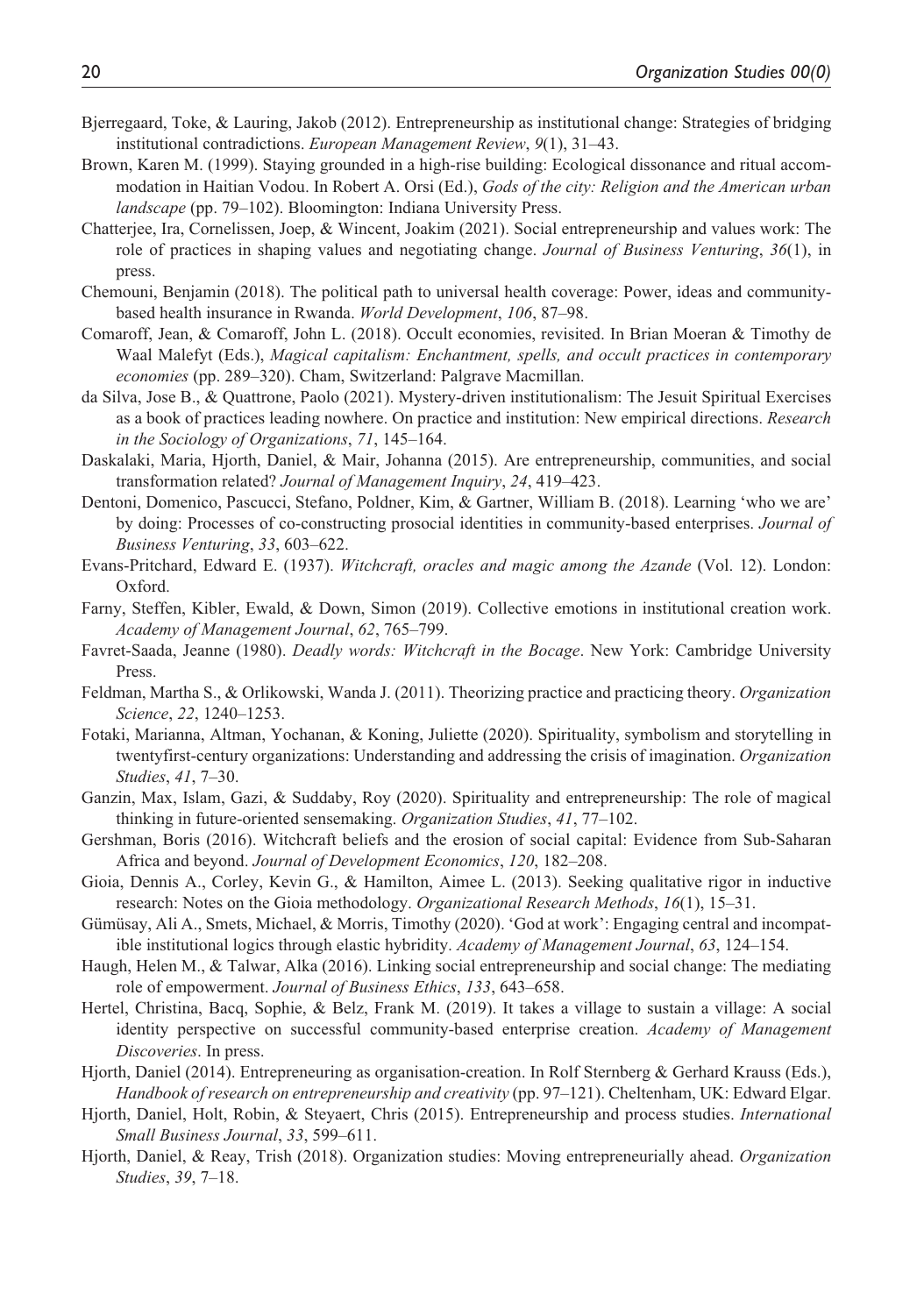- Bjerregaard, Toke, & Lauring, Jakob (2012). Entrepreneurship as institutional change: Strategies of bridging institutional contradictions. *European Management Review*, *9*(1), 31–43.
- Brown, Karen M. (1999). Staying grounded in a high-rise building: Ecological dissonance and ritual accommodation in Haitian Vodou. In Robert A. Orsi (Ed.), *Gods of the city: Religion and the American urban landscape* (pp. 79–102). Bloomington: Indiana University Press.
- Chatterjee, Ira, Cornelissen, Joep, & Wincent, Joakim (2021). Social entrepreneurship and values work: The role of practices in shaping values and negotiating change. *Journal of Business Venturing*, *36*(1), in press.
- Chemouni, Benjamin (2018). The political path to universal health coverage: Power, ideas and communitybased health insurance in Rwanda. *World Development*, *106*, 87–98.
- Comaroff, Jean, & Comaroff, John L. (2018). Occult economies, revisited. In Brian Moeran & Timothy de Waal Malefyt (Eds.), *Magical capitalism: Enchantment, spells, and occult practices in contemporary economies* (pp. 289–320). Cham, Switzerland: Palgrave Macmillan.
- da Silva, Jose B., & Quattrone, Paolo (2021). Mystery-driven institutionalism: The Jesuit Spiritual Exercises as a book of practices leading nowhere. On practice and institution: New empirical directions. *Research in the Sociology of Organizations*, *71*, 145–164.
- Daskalaki, Maria, Hjorth, Daniel, & Mair, Johanna (2015). Are entrepreneurship, communities, and social transformation related? *Journal of Management Inquiry*, *24*, 419–423.
- Dentoni, Domenico, Pascucci, Stefano, Poldner, Kim, & Gartner, William B. (2018). Learning 'who we are' by doing: Processes of co-constructing prosocial identities in community-based enterprises. *Journal of Business Venturing*, *33*, 603–622.
- Evans-Pritchard, Edward E. (1937). *Witchcraft, oracles and magic among the Azande* (Vol. 12). London: Oxford.
- Farny, Steffen, Kibler, Ewald, & Down, Simon (2019). Collective emotions in institutional creation work. *Academy of Management Journal*, *62*, 765–799.
- Favret-Saada, Jeanne (1980). *Deadly words: Witchcraft in the Bocage*. New York: Cambridge University Press.
- Feldman, Martha S., & Orlikowski, Wanda J. (2011). Theorizing practice and practicing theory. *Organization Science*, *22*, 1240–1253.
- Fotaki, Marianna, Altman, Yochanan, & Koning, Juliette (2020). Spirituality, symbolism and storytelling in twentyfirst-century organizations: Understanding and addressing the crisis of imagination. *Organization Studies*, *41*, 7–30.
- Ganzin, Max, Islam, Gazi, & Suddaby, Roy (2020). Spirituality and entrepreneurship: The role of magical thinking in future-oriented sensemaking. *Organization Studies*, *41*, 77–102.
- Gershman, Boris (2016). Witchcraft beliefs and the erosion of social capital: Evidence from Sub-Saharan Africa and beyond. *Journal of Development Economics*, *120*, 182–208.
- Gioia, Dennis A., Corley, Kevin G., & Hamilton, Aimee L. (2013). Seeking qualitative rigor in inductive research: Notes on the Gioia methodology. *Organizational Research Methods*, *16*(1), 15–31.
- Gümüsay, Ali A., Smets, Michael, & Morris, Timothy (2020). 'God at work': Engaging central and incompatible institutional logics through elastic hybridity. *Academy of Management Journal*, *63*, 124–154.
- Haugh, Helen M., & Talwar, Alka (2016). Linking social entrepreneurship and social change: The mediating role of empowerment. *Journal of Business Ethics*, *133*, 643–658.
- Hertel, Christina, Bacq, Sophie, & Belz, Frank M. (2019). It takes a village to sustain a village: A social identity perspective on successful community-based enterprise creation. *Academy of Management Discoveries*. In press.
- Hjorth, Daniel (2014). Entrepreneuring as organisation-creation. In Rolf Sternberg & Gerhard Krauss (Eds.), *Handbook of research on entrepreneurship and creativity* (pp. 97–121). Cheltenham, UK: Edward Elgar.
- Hjorth, Daniel, Holt, Robin, & Steyaert, Chris (2015). Entrepreneurship and process studies. *International Small Business Journal*, *33*, 599–611.
- Hjorth, Daniel, & Reay, Trish (2018). Organization studies: Moving entrepreneurially ahead. *Organization Studies*, *39*, 7–18.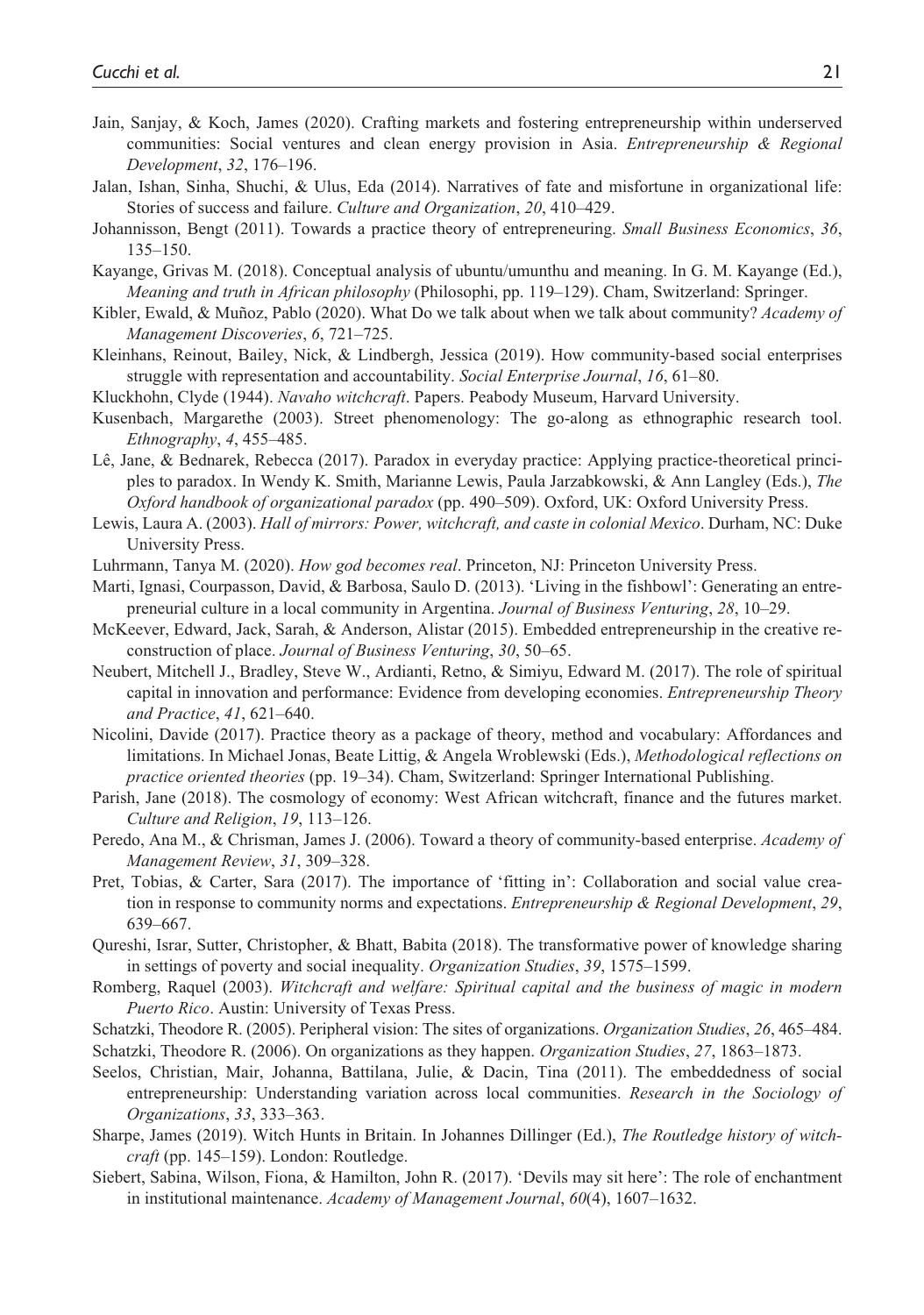- Jain, Sanjay, & Koch, James (2020). Crafting markets and fostering entrepreneurship within underserved communities: Social ventures and clean energy provision in Asia. *Entrepreneurship & Regional Development*, *32*, 176–196.
- Jalan, Ishan, Sinha, Shuchi, & Ulus, Eda (2014). Narratives of fate and misfortune in organizational life: Stories of success and failure. *Culture and Organization*, *20*, 410–429.
- Johannisson, Bengt (2011). Towards a practice theory of entrepreneuring. *Small Business Economics*, *36*, 135–150.
- Kayange, Grivas M. (2018). Conceptual analysis of ubuntu/umunthu and meaning. In G. M. Kayange (Ed.), *Meaning and truth in African philosophy* (Philosophi, pp. 119–129). Cham, Switzerland: Springer.
- Kibler, Ewald, & Muñoz, Pablo (2020). What Do we talk about when we talk about community? *Academy of Management Discoveries*, *6*, 721–725.
- Kleinhans, Reinout, Bailey, Nick, & Lindbergh, Jessica (2019). How community-based social enterprises struggle with representation and accountability. *Social Enterprise Journal*, *16*, 61–80.
- Kluckhohn, Clyde (1944). *Navaho witchcraft*. Papers. Peabody Museum, Harvard University.
- Kusenbach, Margarethe (2003). Street phenomenology: The go-along as ethnographic research tool. *Ethnography*, *4*, 455–485.
- Lê, Jane, & Bednarek, Rebecca (2017). Paradox in everyday practice: Applying practice-theoretical principles to paradox. In Wendy K. Smith, Marianne Lewis, Paula Jarzabkowski, & Ann Langley (Eds.), *The Oxford handbook of organizational paradox* (pp. 490–509). Oxford, UK: Oxford University Press.
- Lewis, Laura A. (2003). *Hall of mirrors: Power, witchcraft, and caste in colonial Mexico*. Durham, NC: Duke University Press.
- Luhrmann, Tanya M. (2020). *How god becomes real*. Princeton, NJ: Princeton University Press.
- Marti, Ignasi, Courpasson, David, & Barbosa, Saulo D. (2013). 'Living in the fishbowl': Generating an entrepreneurial culture in a local community in Argentina. *Journal of Business Venturing*, *28*, 10–29.
- McKeever, Edward, Jack, Sarah, & Anderson, Alistar (2015). Embedded entrepreneurship in the creative reconstruction of place. *Journal of Business Venturing*, *30*, 50–65.
- Neubert, Mitchell J., Bradley, Steve W., Ardianti, Retno, & Simiyu, Edward M. (2017). The role of spiritual capital in innovation and performance: Evidence from developing economies. *Entrepreneurship Theory and Practice*, *41*, 621–640.
- Nicolini, Davide (2017). Practice theory as a package of theory, method and vocabulary: Affordances and limitations. In Michael Jonas, Beate Littig, & Angela Wroblewski (Eds.), *Methodological reflections on practice oriented theories* (pp. 19–34). Cham, Switzerland: Springer International Publishing.
- Parish, Jane (2018). The cosmology of economy: West African witchcraft, finance and the futures market. *Culture and Religion*, *19*, 113–126.
- Peredo, Ana M., & Chrisman, James J. (2006). Toward a theory of community-based enterprise. *Academy of Management Review*, *31*, 309–328.
- Pret, Tobias, & Carter, Sara (2017). The importance of 'fitting in': Collaboration and social value creation in response to community norms and expectations. *Entrepreneurship & Regional Development*, *29*, 639–667.
- Qureshi, Israr, Sutter, Christopher, & Bhatt, Babita (2018). The transformative power of knowledge sharing in settings of poverty and social inequality. *Organization Studies*, *39*, 1575–1599.
- Romberg, Raquel (2003). *Witchcraft and welfare: Spiritual capital and the business of magic in modern Puerto Rico*. Austin: University of Texas Press.
- Schatzki, Theodore R. (2005). Peripheral vision: The sites of organizations. *Organization Studies*, *26*, 465–484. Schatzki, Theodore R. (2006). On organizations as they happen. *Organization Studies*, *27*, 1863–1873.
- Seelos, Christian, Mair, Johanna, Battilana, Julie, & Dacin, Tina (2011). The embeddedness of social entrepreneurship: Understanding variation across local communities. *Research in the Sociology of Organizations*, *33*, 333–363.
- Sharpe, James (2019). Witch Hunts in Britain. In Johannes Dillinger (Ed.), *The Routledge history of witchcraft* (pp. 145–159). London: Routledge.
- Siebert, Sabina, Wilson, Fiona, & Hamilton, John R. (2017). 'Devils may sit here': The role of enchantment in institutional maintenance. *Academy of Management Journal*, *60*(4), 1607–1632.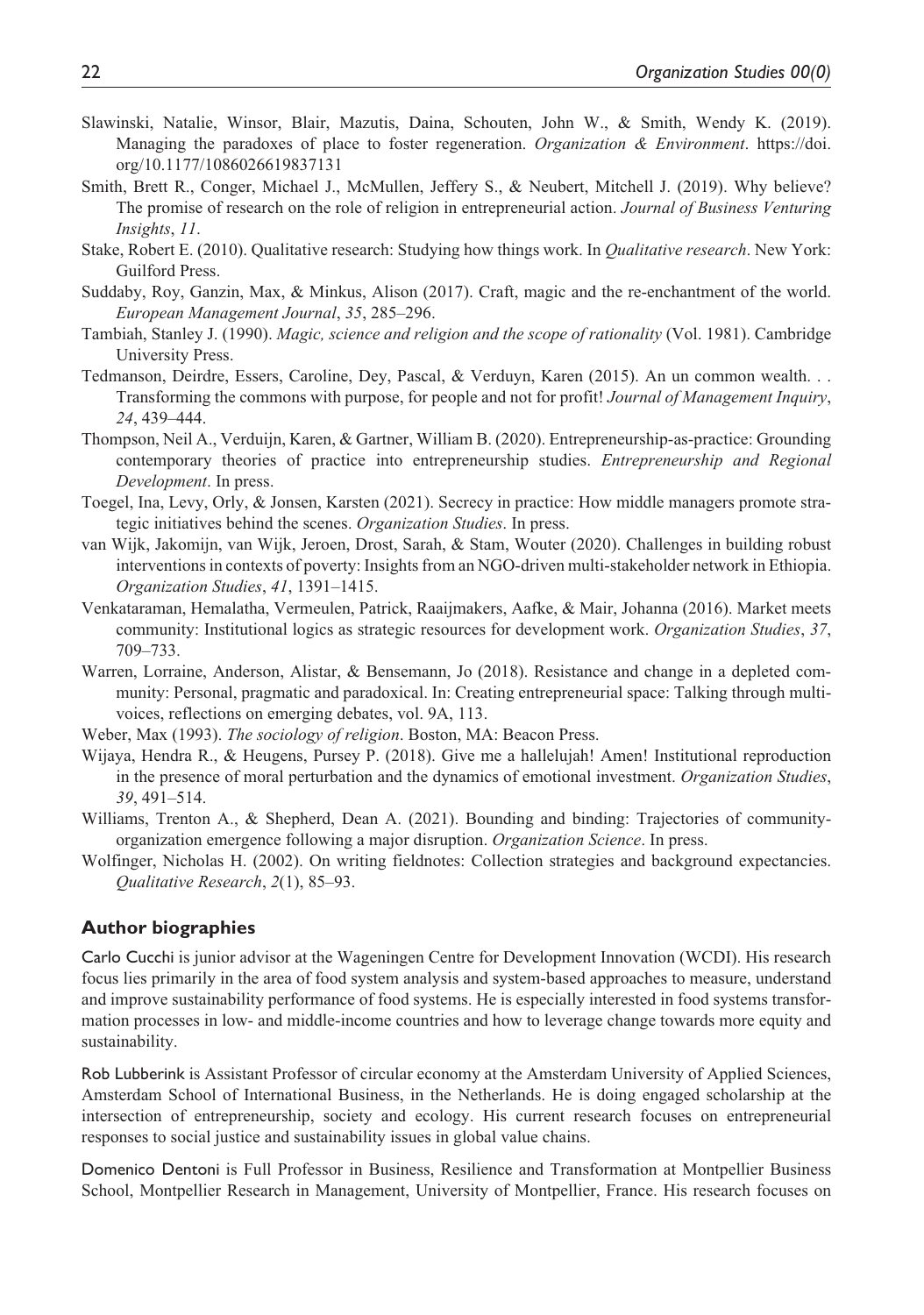- Slawinski, Natalie, Winsor, Blair, Mazutis, Daina, Schouten, John W., & Smith, Wendy K. (2019). Managing the paradoxes of place to foster regeneration. *Organization & Environment*. [https://doi.](https://doi.org/10.1177/1086026619837131) [org/10.1177/1086026619837131](https://doi.org/10.1177/1086026619837131)
- Smith, Brett R., Conger, Michael J., McMullen, Jeffery S., & Neubert, Mitchell J. (2019). Why believe? The promise of research on the role of religion in entrepreneurial action. *Journal of Business Venturing Insights*, *11*.
- Stake, Robert E. (2010). Qualitative research: Studying how things work. In *Qualitative research*. New York: Guilford Press.
- Suddaby, Roy, Ganzin, Max, & Minkus, Alison (2017). Craft, magic and the re-enchantment of the world. *European Management Journal*, *35*, 285–296.
- Tambiah, Stanley J. (1990). *Magic, science and religion and the scope of rationality* (Vol. 1981). Cambridge University Press.
- Tedmanson, Deirdre, Essers, Caroline, Dey, Pascal, & Verduyn, Karen (2015). An un common wealth. . . Transforming the commons with purpose, for people and not for profit! *Journal of Management Inquiry*, *24*, 439–444.
- Thompson, Neil A., Verduijn, Karen, & Gartner, William B. (2020). Entrepreneurship-as-practice: Grounding contemporary theories of practice into entrepreneurship studies. *Entrepreneurship and Regional Development*. In press.
- Toegel, Ina, Levy, Orly, & Jonsen, Karsten (2021). Secrecy in practice: How middle managers promote strategic initiatives behind the scenes. *Organization Studies*. In press.
- van Wijk, Jakomijn, van Wijk, Jeroen, Drost, Sarah, & Stam, Wouter (2020). Challenges in building robust interventions in contexts of poverty: Insights from an NGO-driven multi-stakeholder network in Ethiopia. *Organization Studies*, *41*, 1391–1415.
- Venkataraman, Hemalatha, Vermeulen, Patrick, Raaijmakers, Aafke, & Mair, Johanna (2016). Market meets community: Institutional logics as strategic resources for development work. *Organization Studies*, *37*, 709–733.
- Warren, Lorraine, Anderson, Alistar, & Bensemann, Jo (2018). Resistance and change in a depleted community: Personal, pragmatic and paradoxical. In: Creating entrepreneurial space: Talking through multivoices, reflections on emerging debates, vol. 9A, 113.
- Weber, Max (1993). *The sociology of religion*. Boston, MA: Beacon Press.
- Wijaya, Hendra R., & Heugens, Pursey P. (2018). Give me a hallelujah! Amen! Institutional reproduction in the presence of moral perturbation and the dynamics of emotional investment. *Organization Studies*, *39*, 491–514.
- Williams, Trenton A., & Shepherd, Dean A. (2021). Bounding and binding: Trajectories of communityorganization emergence following a major disruption. *Organization Science*. In press.
- Wolfinger, Nicholas H. (2002). On writing fieldnotes: Collection strategies and background expectancies. *Qualitative Research*, *2*(1), 85–93.

#### **Author biographies**

Carlo Cucchi is junior advisor at the Wageningen Centre for Development Innovation (WCDI). His research focus lies primarily in the area of food system analysis and system-based approaches to measure, understand and improve sustainability performance of food systems. He is especially interested in food systems transformation processes in low- and middle-income countries and how to leverage change towards more equity and sustainability.

Rob Lubberink is Assistant Professor of circular economy at the Amsterdam University of Applied Sciences, Amsterdam School of International Business, in the Netherlands. He is doing engaged scholarship at the intersection of entrepreneurship, society and ecology. His current research focuses on entrepreneurial responses to social justice and sustainability issues in global value chains.

Domenico Dentoni is Full Professor in Business, Resilience and Transformation at Montpellier Business School, Montpellier Research in Management, University of Montpellier, France. His research focuses on